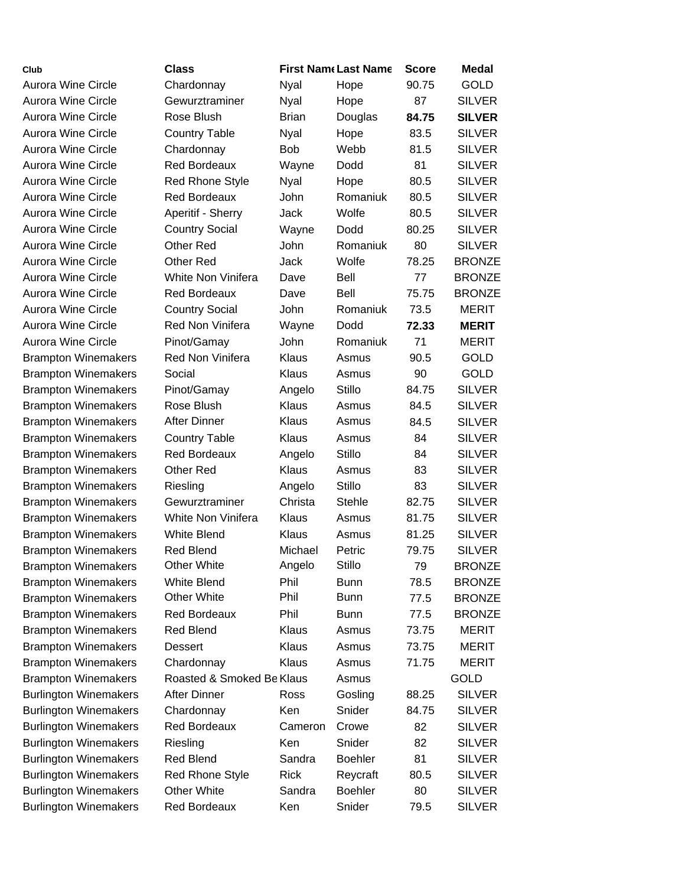| Club                         | <b>Class</b>              |              | <b>First Name Last Name</b> | <b>Score</b> | <b>Medal</b>  |
|------------------------------|---------------------------|--------------|-----------------------------|--------------|---------------|
| <b>Aurora Wine Circle</b>    | Chardonnay                | <b>Nyal</b>  | Hope                        | 90.75        | <b>GOLD</b>   |
| <b>Aurora Wine Circle</b>    | Gewurztraminer            | Nyal         | Hope                        | 87           | <b>SILVER</b> |
| <b>Aurora Wine Circle</b>    | Rose Blush                | <b>Brian</b> | Douglas                     | 84.75        | <b>SILVER</b> |
| Aurora Wine Circle           | <b>Country Table</b>      | <b>Nyal</b>  | Hope                        | 83.5         | <b>SILVER</b> |
| Aurora Wine Circle           | Chardonnay                | <b>Bob</b>   | Webb                        | 81.5         | <b>SILVER</b> |
| Aurora Wine Circle           | <b>Red Bordeaux</b>       | Wayne        | Dodd                        | 81           | <b>SILVER</b> |
| Aurora Wine Circle           | <b>Red Rhone Style</b>    | Nyal         | Hope                        | 80.5         | <b>SILVER</b> |
| Aurora Wine Circle           | <b>Red Bordeaux</b>       | John         | Romaniuk                    | 80.5         | <b>SILVER</b> |
| <b>Aurora Wine Circle</b>    | Aperitif - Sherry         | Jack         | Wolfe                       | 80.5         | <b>SILVER</b> |
| Aurora Wine Circle           | <b>Country Social</b>     | Wayne        | Dodd                        | 80.25        | <b>SILVER</b> |
| Aurora Wine Circle           | <b>Other Red</b>          | John         | Romaniuk                    | 80           | <b>SILVER</b> |
| Aurora Wine Circle           | <b>Other Red</b>          | Jack         | Wolfe                       | 78.25        | <b>BRONZE</b> |
| <b>Aurora Wine Circle</b>    | White Non Vinifera        | Dave         | Bell                        | 77           | <b>BRONZE</b> |
| <b>Aurora Wine Circle</b>    | <b>Red Bordeaux</b>       | Dave         | Bell                        | 75.75        | <b>BRONZE</b> |
| Aurora Wine Circle           | <b>Country Social</b>     | <b>John</b>  | Romaniuk                    | 73.5         | <b>MERIT</b>  |
| <b>Aurora Wine Circle</b>    | Red Non Vinifera          | Wayne        | Dodd                        | 72.33        | <b>MERIT</b>  |
| Aurora Wine Circle           | Pinot/Gamay               | John         | Romaniuk                    | 71           | <b>MERIT</b>  |
| <b>Brampton Winemakers</b>   | Red Non Vinifera          | Klaus        | Asmus                       | 90.5         | GOLD          |
| <b>Brampton Winemakers</b>   | Social                    | Klaus        | Asmus                       | 90           | <b>GOLD</b>   |
| <b>Brampton Winemakers</b>   | Pinot/Gamay               | Angelo       | <b>Stillo</b>               | 84.75        | <b>SILVER</b> |
| <b>Brampton Winemakers</b>   | Rose Blush                | Klaus        | Asmus                       | 84.5         | <b>SILVER</b> |
| <b>Brampton Winemakers</b>   | <b>After Dinner</b>       | Klaus        | Asmus                       | 84.5         | <b>SILVER</b> |
| <b>Brampton Winemakers</b>   | <b>Country Table</b>      | Klaus        | Asmus                       | 84           | <b>SILVER</b> |
| <b>Brampton Winemakers</b>   | <b>Red Bordeaux</b>       | Angelo       | Stillo                      | 84           | <b>SILVER</b> |
| <b>Brampton Winemakers</b>   | <b>Other Red</b>          | Klaus        | Asmus                       | 83           | <b>SILVER</b> |
| <b>Brampton Winemakers</b>   | Riesling                  | Angelo       | <b>Stillo</b>               | 83           | <b>SILVER</b> |
| <b>Brampton Winemakers</b>   | Gewurztraminer            | Christa      | <b>Stehle</b>               | 82.75        | <b>SILVER</b> |
| <b>Brampton Winemakers</b>   | White Non Vinifera        | Klaus        | Asmus                       | 81.75        | <b>SILVER</b> |
| <b>Brampton Winemakers</b>   | <b>White Blend</b>        | Klaus        | Asmus                       | 81.25        | <b>SILVER</b> |
| <b>Brampton Winemakers</b>   | <b>Red Blend</b>          | Michael      | Petric                      | 79.75        | <b>SILVER</b> |
| <b>Brampton Winemakers</b>   | <b>Other White</b>        | Angelo       | <b>Stillo</b>               | 79           | <b>BRONZE</b> |
| <b>Brampton Winemakers</b>   | <b>White Blend</b>        | Phil         | <b>Bunn</b>                 | 78.5         | <b>BRONZE</b> |
| <b>Brampton Winemakers</b>   | <b>Other White</b>        | Phil         | <b>Bunn</b>                 | 77.5         | <b>BRONZE</b> |
| <b>Brampton Winemakers</b>   | <b>Red Bordeaux</b>       | Phil         | <b>Bunn</b>                 | 77.5         | <b>BRONZE</b> |
| <b>Brampton Winemakers</b>   | <b>Red Blend</b>          | Klaus        | Asmus                       | 73.75        | MERIT         |
| <b>Brampton Winemakers</b>   | Dessert                   | Klaus        | Asmus                       | 73.75        | MERIT         |
| <b>Brampton Winemakers</b>   | Chardonnay                | Klaus        | Asmus                       | 71.75        | <b>MERIT</b>  |
| <b>Brampton Winemakers</b>   | Roasted & Smoked Be Klaus |              | Asmus                       |              | <b>GOLD</b>   |
| <b>Burlington Winemakers</b> | <b>After Dinner</b>       | <b>Ross</b>  | Gosling                     | 88.25        | <b>SILVER</b> |
| <b>Burlington Winemakers</b> | Chardonnay                | Ken          | Snider                      | 84.75        | <b>SILVER</b> |
| <b>Burlington Winemakers</b> | <b>Red Bordeaux</b>       | Cameron      | Crowe                       | 82           | <b>SILVER</b> |
| <b>Burlington Winemakers</b> | Riesling                  | Ken          | Snider                      | 82           | <b>SILVER</b> |
| <b>Burlington Winemakers</b> | <b>Red Blend</b>          | Sandra       | <b>Boehler</b>              | 81           | <b>SILVER</b> |
| <b>Burlington Winemakers</b> | <b>Red Rhone Style</b>    | Rick         | Reycraft                    | 80.5         | <b>SILVER</b> |
| <b>Burlington Winemakers</b> | <b>Other White</b>        | Sandra       | <b>Boehler</b>              | 80           | <b>SILVER</b> |
| <b>Burlington Winemakers</b> | Red Bordeaux              | Ken          | Snider                      | 79.5         | <b>SILVER</b> |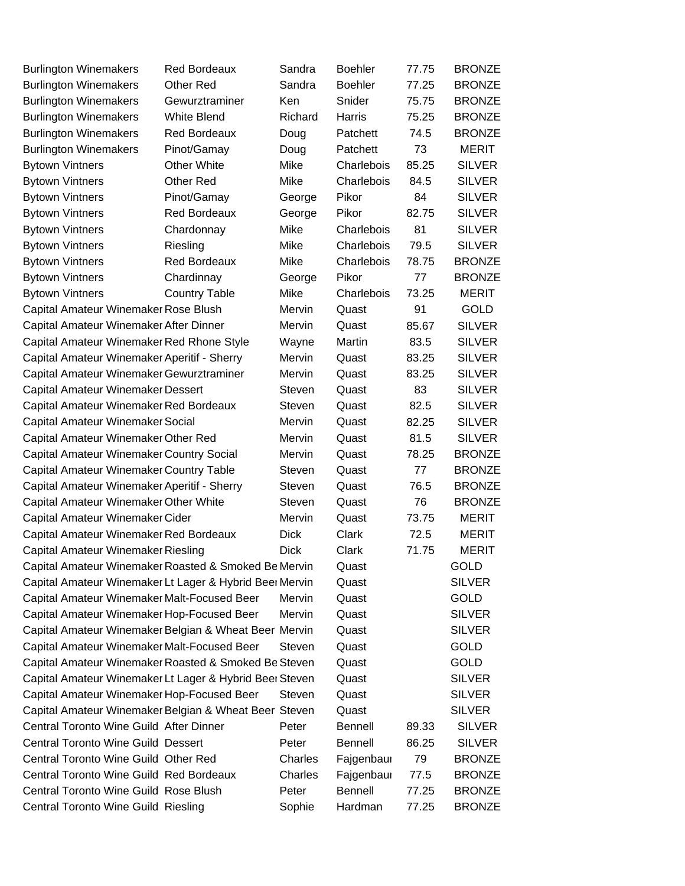| <b>Burlington Winemakers</b>                            | <b>Red Bordeaux</b>  | Sandra        | <b>Boehler</b> | 77.75 | <b>BRONZE</b> |
|---------------------------------------------------------|----------------------|---------------|----------------|-------|---------------|
| <b>Burlington Winemakers</b>                            | <b>Other Red</b>     | Sandra        | <b>Boehler</b> | 77.25 | <b>BRONZE</b> |
| <b>Burlington Winemakers</b>                            | Gewurztraminer       | Ken           | Snider         | 75.75 | <b>BRONZE</b> |
| <b>Burlington Winemakers</b>                            | <b>White Blend</b>   | Richard       | Harris         | 75.25 | <b>BRONZE</b> |
| <b>Burlington Winemakers</b>                            | <b>Red Bordeaux</b>  | Doug          | Patchett       | 74.5  | <b>BRONZE</b> |
| <b>Burlington Winemakers</b>                            | Pinot/Gamay          | Doug          | Patchett       | 73    | <b>MERIT</b>  |
| <b>Bytown Vintners</b>                                  | <b>Other White</b>   | Mike          | Charlebois     | 85.25 | <b>SILVER</b> |
| <b>Bytown Vintners</b>                                  | <b>Other Red</b>     | Mike          | Charlebois     | 84.5  | <b>SILVER</b> |
| <b>Bytown Vintners</b>                                  | Pinot/Gamay          | George        | Pikor          | 84    | <b>SILVER</b> |
| <b>Bytown Vintners</b>                                  | <b>Red Bordeaux</b>  | George        | Pikor          | 82.75 | <b>SILVER</b> |
| <b>Bytown Vintners</b>                                  | Chardonnay           | Mike          | Charlebois     | 81    | <b>SILVER</b> |
| <b>Bytown Vintners</b>                                  | Riesling             | Mike          | Charlebois     | 79.5  | <b>SILVER</b> |
| <b>Bytown Vintners</b>                                  | <b>Red Bordeaux</b>  | Mike          | Charlebois     | 78.75 | <b>BRONZE</b> |
| <b>Bytown Vintners</b>                                  | Chardinnay           | George        | Pikor          | 77    | <b>BRONZE</b> |
| <b>Bytown Vintners</b>                                  | <b>Country Table</b> | Mike          | Charlebois     | 73.25 | <b>MERIT</b>  |
| Capital Amateur Winemaker Rose Blush                    |                      | Mervin        | Quast          | 91    | <b>GOLD</b>   |
| Capital Amateur Winemaker After Dinner                  |                      | Mervin        | Quast          | 85.67 | <b>SILVER</b> |
| Capital Amateur Winemaker Red Rhone Style               |                      | Wayne         | Martin         | 83.5  | <b>SILVER</b> |
| Capital Amateur Winemaker Aperitif - Sherry             |                      | Mervin        | Quast          | 83.25 | <b>SILVER</b> |
| Capital Amateur Winemaker Gewurztraminer                |                      | Mervin        | Quast          | 83.25 | <b>SILVER</b> |
| Capital Amateur Winemaker Dessert                       |                      | Steven        | Quast          | 83    | <b>SILVER</b> |
| Capital Amateur Winemaker Red Bordeaux                  |                      | Steven        | Quast          | 82.5  | <b>SILVER</b> |
| Capital Amateur Winemaker Social                        |                      | Mervin        | Quast          | 82.25 | <b>SILVER</b> |
| Capital Amateur Winemaker Other Red                     |                      | Mervin        | Quast          | 81.5  | <b>SILVER</b> |
| Capital Amateur Winemaker Country Social                |                      | Mervin        | Quast          | 78.25 | <b>BRONZE</b> |
| Capital Amateur Winemaker Country Table                 |                      | Steven        | Quast          | 77    | <b>BRONZE</b> |
| Capital Amateur Winemaker Aperitif - Sherry             |                      | Steven        | Quast          | 76.5  | <b>BRONZE</b> |
| Capital Amateur Winemaker Other White                   |                      | <b>Steven</b> | Quast          | 76    | <b>BRONZE</b> |
| Capital Amateur Winemaker Cider                         |                      | Mervin        | Quast          | 73.75 | <b>MERIT</b>  |
| Capital Amateur Winemaker Red Bordeaux                  |                      | <b>Dick</b>   | Clark          | 72.5  | <b>MERIT</b>  |
| Capital Amateur Winemaker Riesling                      |                      | <b>Dick</b>   | Clark          | 71.75 | <b>MERIT</b>  |
| Capital Amateur Winemaker Roasted & Smoked Be Mervin    |                      |               | Quast          |       | <b>GOLD</b>   |
| Capital Amateur Winemaker Lt Lager & Hybrid Beer Mervin |                      |               | Quast          |       | <b>SILVER</b> |
| Capital Amateur Winemaker Malt-Focused Beer             |                      | Mervin        | Quast          |       | GOLD          |
| Capital Amateur Winemaker Hop-Focused Beer              |                      | Mervin        | Quast          |       | <b>SILVER</b> |
| Capital Amateur Winemaker Belgian & Wheat Beer Mervin   |                      |               | Quast          |       | <b>SILVER</b> |
| Capital Amateur Winemaker Malt-Focused Beer             |                      | Steven        | Quast          |       | GOLD          |
| Capital Amateur Winemaker Roasted & Smoked Be Steven    |                      |               | Quast          |       | <b>GOLD</b>   |
| Capital Amateur Winemaker Lt Lager & Hybrid Beer Steven |                      |               | Quast          |       | <b>SILVER</b> |
| Capital Amateur Winemaker Hop-Focused Beer              |                      | Steven        | Quast          |       | <b>SILVER</b> |
| Capital Amateur Winemaker Belgian & Wheat Beer Steven   |                      |               | Quast          |       | <b>SILVER</b> |
| Central Toronto Wine Guild After Dinner                 |                      | Peter         | <b>Bennell</b> | 89.33 | <b>SILVER</b> |
| <b>Central Toronto Wine Guild Dessert</b>               |                      | Peter         | <b>Bennell</b> | 86.25 | <b>SILVER</b> |
| Central Toronto Wine Guild Other Red                    |                      | Charles       | Fajgenbaur     | 79    | <b>BRONZE</b> |
| Central Toronto Wine Guild Red Bordeaux                 |                      | Charles       | Fajgenbaur     | 77.5  | <b>BRONZE</b> |
| Central Toronto Wine Guild Rose Blush                   |                      | Peter         | <b>Bennell</b> | 77.25 | <b>BRONZE</b> |
| Central Toronto Wine Guild Riesling                     |                      | Sophie        | Hardman        | 77.25 | <b>BRONZE</b> |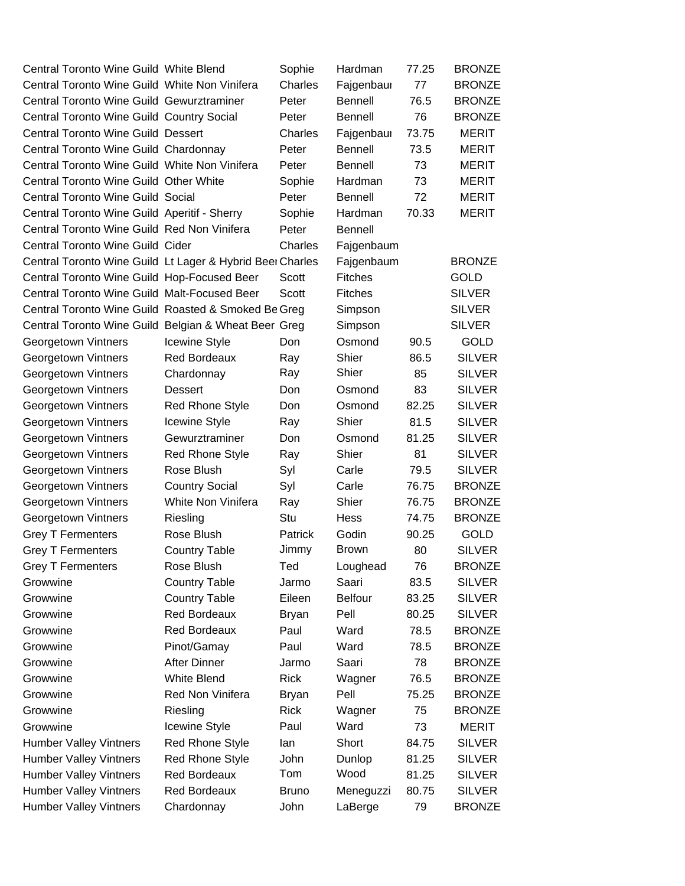| Central Toronto Wine Guild White Blend                    |                        | Sophie         | Hardman        | 77.25 | <b>BRONZE</b> |
|-----------------------------------------------------------|------------------------|----------------|----------------|-------|---------------|
| Central Toronto Wine Guild White Non Vinifera             |                        | Charles        | Fajgenbaur     | 77    | <b>BRONZE</b> |
| Central Toronto Wine Guild Gewurztraminer                 |                        | Peter          | Bennell        | 76.5  | <b>BRONZE</b> |
| Central Toronto Wine Guild Country Social                 |                        | Peter          | <b>Bennell</b> | 76    | <b>BRONZE</b> |
| <b>Central Toronto Wine Guild Dessert</b>                 |                        | Charles        | Fajgenbaur     | 73.75 | <b>MERIT</b>  |
| Central Toronto Wine Guild Chardonnay                     |                        | Peter          | <b>Bennell</b> | 73.5  | <b>MERIT</b>  |
| Central Toronto Wine Guild White Non Vinifera             |                        | Peter          | <b>Bennell</b> | 73    | <b>MERIT</b>  |
| Central Toronto Wine Guild Other White                    |                        | Sophie         | Hardman        | 73    | <b>MERIT</b>  |
| <b>Central Toronto Wine Guild Social</b>                  |                        | Peter          | <b>Bennell</b> | 72    | <b>MERIT</b>  |
| Central Toronto Wine Guild Aperitif - Sherry              |                        | Sophie         | Hardman        | 70.33 | <b>MERIT</b>  |
| Central Toronto Wine Guild Red Non Vinifera               |                        | Peter          | Bennell        |       |               |
| <b>Central Toronto Wine Guild Cider</b>                   |                        | Charles        | Fajgenbaum     |       |               |
| Central Toronto Wine Guild Lt Lager & Hybrid Beer Charles |                        |                | Fajgenbaum     |       | <b>BRONZE</b> |
| Central Toronto Wine Guild Hop-Focused Beer               |                        | Scott          | <b>Fitches</b> |       | GOLD          |
| Central Toronto Wine Guild Malt-Focused Beer              |                        | Scott          | <b>Fitches</b> |       | <b>SILVER</b> |
| Central Toronto Wine Guild Roasted & Smoked Be Greg       |                        |                | Simpson        |       | <b>SILVER</b> |
| Central Toronto Wine Guild Belgian & Wheat Beer Greg      |                        |                | Simpson        |       | <b>SILVER</b> |
| Georgetown Vintners                                       | <b>Icewine Style</b>   | Don.           | Osmond         | 90.5  | <b>GOLD</b>   |
| Georgetown Vintners                                       | Red Bordeaux           | Ray            | Shier          | 86.5  | <b>SILVER</b> |
| Georgetown Vintners                                       | Chardonnay             | Ray            | Shier          | 85    | <b>SILVER</b> |
| Georgetown Vintners                                       | Dessert                | Don            | Osmond         | 83    | <b>SILVER</b> |
| Georgetown Vintners                                       | Red Rhone Style        | Don            | Osmond         | 82.25 | <b>SILVER</b> |
| Georgetown Vintners                                       | <b>Icewine Style</b>   | Ray            | Shier          | 81.5  | <b>SILVER</b> |
| Georgetown Vintners                                       | Gewurztraminer         | Don            | Osmond         | 81.25 | <b>SILVER</b> |
| Georgetown Vintners                                       | <b>Red Rhone Style</b> | Ray            | Shier          | 81    | <b>SILVER</b> |
| Georgetown Vintners                                       | Rose Blush             | Syl            | Carle          | 79.5  | <b>SILVER</b> |
| Georgetown Vintners                                       | <b>Country Social</b>  | Syl            | Carle          | 76.75 | <b>BRONZE</b> |
| Georgetown Vintners                                       | White Non Vinifera     | Ray            | Shier          | 76.75 | <b>BRONZE</b> |
| Georgetown Vintners                                       | Riesling               | Stu            | Hess           | 74.75 | <b>BRONZE</b> |
| <b>Grey T Fermenters</b>                                  | Rose Blush             | <b>Patrick</b> | Godin          | 90.25 | <b>GOLD</b>   |
| <b>Grey T Fermenters</b>                                  | <b>Country Table</b>   | Jimmy          | <b>Brown</b>   | 80    | <b>SILVER</b> |
| <b>Grey T Fermenters</b>                                  | Rose Blush             | Ted            | Loughead       | 76    | <b>BRONZE</b> |
| Growwine                                                  | <b>Country Table</b>   | Jarmo          | Saari          | 83.5  | <b>SILVER</b> |
| Growwine                                                  | <b>Country Table</b>   | Eileen         | <b>Belfour</b> | 83.25 | <b>SILVER</b> |
| Growwine                                                  | <b>Red Bordeaux</b>    | <b>Bryan</b>   | Pell           | 80.25 | <b>SILVER</b> |
| Growwine                                                  | <b>Red Bordeaux</b>    | Paul           | Ward           | 78.5  | <b>BRONZE</b> |
| Growwine                                                  | Pinot/Gamay            | Paul           | Ward           | 78.5  | <b>BRONZE</b> |
| Growwine                                                  | <b>After Dinner</b>    | Jarmo          | Saari          | 78    | <b>BRONZE</b> |
| Growwine                                                  | <b>White Blend</b>     | <b>Rick</b>    | Wagner         | 76.5  | <b>BRONZE</b> |
| Growwine                                                  | Red Non Vinifera       | <b>Bryan</b>   | Pell           | 75.25 | <b>BRONZE</b> |
| Growwine                                                  | Riesling               | <b>Rick</b>    | Wagner         | 75    | <b>BRONZE</b> |
| Growwine                                                  | Icewine Style          | Paul           | Ward           | 73    | MERIT         |
| <b>Humber Valley Vintners</b>                             | <b>Red Rhone Style</b> | lan            | Short          | 84.75 | <b>SILVER</b> |
| <b>Humber Valley Vintners</b>                             | <b>Red Rhone Style</b> | John           | Dunlop         | 81.25 | <b>SILVER</b> |
| <b>Humber Valley Vintners</b>                             | Red Bordeaux           | Tom            | Wood           | 81.25 | <b>SILVER</b> |
| <b>Humber Valley Vintners</b>                             | Red Bordeaux           | <b>Bruno</b>   | Meneguzzi      | 80.75 | <b>SILVER</b> |
| <b>Humber Valley Vintners</b>                             | Chardonnay             | John           | LaBerge        | 79    | <b>BRONZE</b> |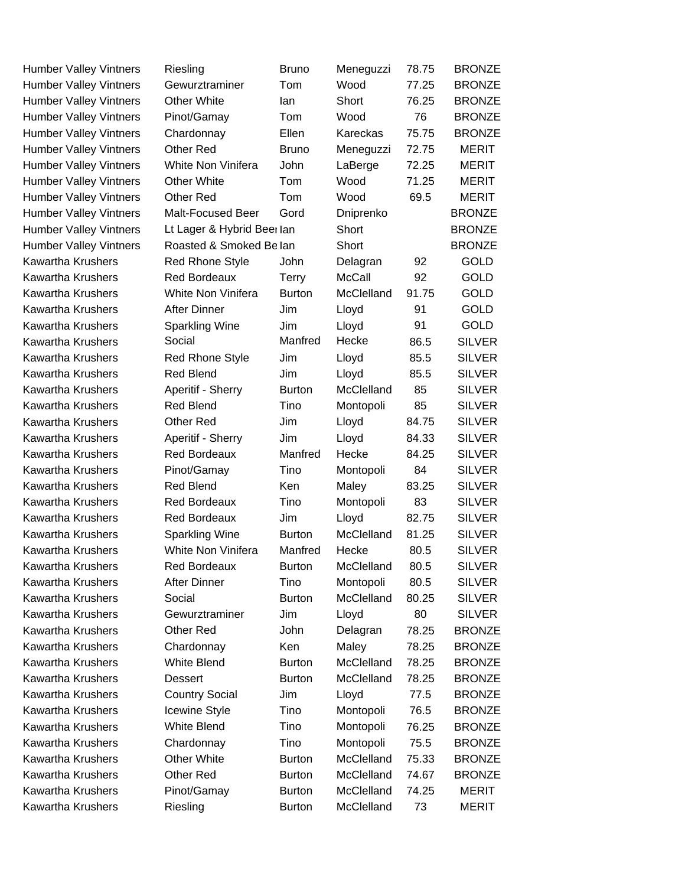| <b>Humber Valley Vintners</b> | Riesling                  | <b>Bruno</b>  | Meneguzzi     | 78.75 | <b>BRONZE</b> |
|-------------------------------|---------------------------|---------------|---------------|-------|---------------|
| <b>Humber Valley Vintners</b> | Gewurztraminer            | Tom           | Wood          | 77.25 | <b>BRONZE</b> |
| <b>Humber Valley Vintners</b> | <b>Other White</b>        | lan           | Short         | 76.25 | <b>BRONZE</b> |
| <b>Humber Valley Vintners</b> | Pinot/Gamay               | Tom           | Wood          | 76    | <b>BRONZE</b> |
| <b>Humber Valley Vintners</b> | Chardonnay                | Ellen         | Kareckas      | 75.75 | <b>BRONZE</b> |
| <b>Humber Valley Vintners</b> | <b>Other Red</b>          | <b>Bruno</b>  | Meneguzzi     | 72.75 | <b>MERIT</b>  |
| <b>Humber Valley Vintners</b> | White Non Vinifera        | John          | LaBerge       | 72.25 | <b>MERIT</b>  |
| <b>Humber Valley Vintners</b> | <b>Other White</b>        | Tom           | Wood          | 71.25 | <b>MERIT</b>  |
| <b>Humber Valley Vintners</b> | <b>Other Red</b>          | Tom           | Wood          | 69.5  | <b>MERIT</b>  |
| <b>Humber Valley Vintners</b> | Malt-Focused Beer         | Gord          | Dniprenko     |       | <b>BRONZE</b> |
| <b>Humber Valley Vintners</b> | Lt Lager & Hybrid Beerlan |               | Short         |       | <b>BRONZE</b> |
| <b>Humber Valley Vintners</b> | Roasted & Smoked Belan    |               | Short         |       | <b>BRONZE</b> |
| <b>Kawartha Krushers</b>      | <b>Red Rhone Style</b>    | John          | Delagran      | 92    | <b>GOLD</b>   |
| <b>Kawartha Krushers</b>      | <b>Red Bordeaux</b>       | Terry         | <b>McCall</b> | 92    | <b>GOLD</b>   |
| <b>Kawartha Krushers</b>      | White Non Vinifera        | <b>Burton</b> | McClelland    | 91.75 | <b>GOLD</b>   |
| <b>Kawartha Krushers</b>      | <b>After Dinner</b>       | Jim           | Lloyd         | 91    | <b>GOLD</b>   |
| <b>Kawartha Krushers</b>      | <b>Sparkling Wine</b>     | Jim           | Lloyd         | 91    | <b>GOLD</b>   |
| <b>Kawartha Krushers</b>      | Social                    | Manfred       | Hecke         | 86.5  | <b>SILVER</b> |
| <b>Kawartha Krushers</b>      | <b>Red Rhone Style</b>    | Jim           | Lloyd         | 85.5  | <b>SILVER</b> |
| <b>Kawartha Krushers</b>      | <b>Red Blend</b>          | Jim           | Lloyd         | 85.5  | <b>SILVER</b> |
| <b>Kawartha Krushers</b>      | Aperitif - Sherry         | <b>Burton</b> | McClelland    | 85    | <b>SILVER</b> |
| <b>Kawartha Krushers</b>      | <b>Red Blend</b>          | Tino          | Montopoli     | 85    | <b>SILVER</b> |
| <b>Kawartha Krushers</b>      | Other Red                 | Jim           | Lloyd         | 84.75 | <b>SILVER</b> |
| <b>Kawartha Krushers</b>      | Aperitif - Sherry         | Jim           | Lloyd         | 84.33 | <b>SILVER</b> |
| <b>Kawartha Krushers</b>      | <b>Red Bordeaux</b>       | Manfred       | Hecke         | 84.25 | <b>SILVER</b> |
| <b>Kawartha Krushers</b>      | Pinot/Gamay               | Tino          | Montopoli     | 84    | <b>SILVER</b> |
| <b>Kawartha Krushers</b>      | <b>Red Blend</b>          | <b>Ken</b>    | Maley         | 83.25 | <b>SILVER</b> |
| <b>Kawartha Krushers</b>      | <b>Red Bordeaux</b>       | Tino          | Montopoli     | 83    | <b>SILVER</b> |
| <b>Kawartha Krushers</b>      | <b>Red Bordeaux</b>       | Jim           | Lloyd         | 82.75 | <b>SILVER</b> |
| <b>Kawartha Krushers</b>      | Sparkling Wine            | <b>Burton</b> | McClelland    | 81.25 | <b>SILVER</b> |
| <b>Kawartha Krushers</b>      | White Non Vinifera        | Manfred       | Hecke         | 80.5  | <b>SILVER</b> |
| Kawartha Krushers             | <b>Red Bordeaux</b>       | <b>Burton</b> | McClelland    | 80.5  | <b>SILVER</b> |
| <b>Kawartha Krushers</b>      | <b>After Dinner</b>       | Tino          | Montopoli     | 80.5  | <b>SILVER</b> |
| <b>Kawartha Krushers</b>      | Social                    | <b>Burton</b> | McClelland    | 80.25 | <b>SILVER</b> |
| <b>Kawartha Krushers</b>      | Gewurztraminer            | Jim           | Lloyd         | 80    | <b>SILVER</b> |
| Kawartha Krushers             | Other Red                 | John          | Delagran      | 78.25 | <b>BRONZE</b> |
| <b>Kawartha Krushers</b>      | Chardonnay                | Ken           | Maley         | 78.25 | <b>BRONZE</b> |
| <b>Kawartha Krushers</b>      | <b>White Blend</b>        | <b>Burton</b> | McClelland    | 78.25 | <b>BRONZE</b> |
| <b>Kawartha Krushers</b>      | Dessert                   | <b>Burton</b> | McClelland    | 78.25 | <b>BRONZE</b> |
| <b>Kawartha Krushers</b>      | <b>Country Social</b>     | Jim           | Lloyd         | 77.5  | <b>BRONZE</b> |
| <b>Kawartha Krushers</b>      | Icewine Style             | Tino          | Montopoli     | 76.5  | <b>BRONZE</b> |
| <b>Kawartha Krushers</b>      | <b>White Blend</b>        | Tino          | Montopoli     | 76.25 | <b>BRONZE</b> |
| <b>Kawartha Krushers</b>      | Chardonnay                | Tino          | Montopoli     | 75.5  | <b>BRONZE</b> |
| <b>Kawartha Krushers</b>      | Other White               | <b>Burton</b> | McClelland    | 75.33 | <b>BRONZE</b> |
| <b>Kawartha Krushers</b>      | Other Red                 | <b>Burton</b> | McClelland    | 74.67 | <b>BRONZE</b> |
| <b>Kawartha Krushers</b>      | Pinot/Gamay               | <b>Burton</b> | McClelland    | 74.25 | MERIT         |
| Kawartha Krushers             | Riesling                  | <b>Burton</b> | McClelland    | 73    | <b>MERIT</b>  |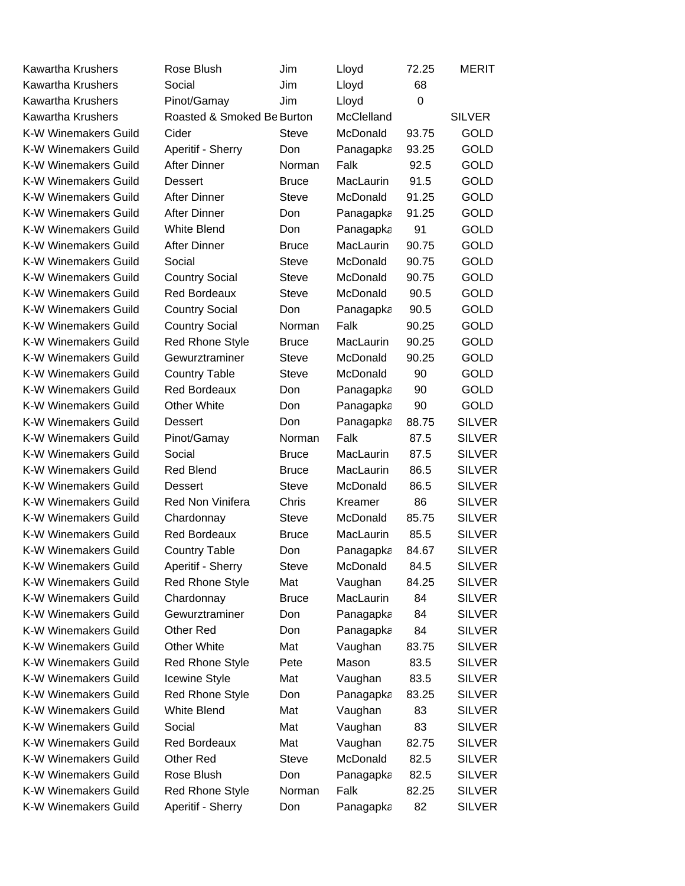| <b>Kawartha Krushers</b>    | Rose Blush                 | Jim          | Lloyd      | 72.25    | <b>MERIT</b>  |
|-----------------------------|----------------------------|--------------|------------|----------|---------------|
| <b>Kawartha Krushers</b>    | Social                     | Jim          | Lloyd      | 68       |               |
| <b>Kawartha Krushers</b>    | Pinot/Gamay                | Jim          | Lloyd      | $\Omega$ |               |
| Kawartha Krushers           | Roasted & Smoked Be Burton |              | McClelland |          | <b>SILVER</b> |
| K-W Winemakers Guild        | Cider                      | <b>Steve</b> | McDonald   | 93.75    | <b>GOLD</b>   |
| K-W Winemakers Guild        | Aperitif - Sherry          | Don          | Panagapka  | 93.25    | <b>GOLD</b>   |
| K-W Winemakers Guild        | <b>After Dinner</b>        | Norman       | Falk       | 92.5     | <b>GOLD</b>   |
| <b>K-W Winemakers Guild</b> | Dessert                    | <b>Bruce</b> | MacLaurin  | 91.5     | <b>GOLD</b>   |
| K-W Winemakers Guild        | <b>After Dinner</b>        | <b>Steve</b> | McDonald   | 91.25    | <b>GOLD</b>   |
| <b>K-W Winemakers Guild</b> | <b>After Dinner</b>        | Don          | Panagapka  | 91.25    | <b>GOLD</b>   |
| K-W Winemakers Guild        | <b>White Blend</b>         | Don          | Panagapka  | 91       | <b>GOLD</b>   |
| K-W Winemakers Guild        | <b>After Dinner</b>        | <b>Bruce</b> | MacLaurin  | 90.75    | <b>GOLD</b>   |
| <b>K-W Winemakers Guild</b> | Social                     | <b>Steve</b> | McDonald   | 90.75    | <b>GOLD</b>   |
| K-W Winemakers Guild        | <b>Country Social</b>      | <b>Steve</b> | McDonald   | 90.75    | <b>GOLD</b>   |
| K-W Winemakers Guild        | <b>Red Bordeaux</b>        | <b>Steve</b> | McDonald   | 90.5     | <b>GOLD</b>   |
| K-W Winemakers Guild        | <b>Country Social</b>      | Don          | Panagapka  | 90.5     | <b>GOLD</b>   |
| K-W Winemakers Guild        | <b>Country Social</b>      | Norman       | Falk       | 90.25    | <b>GOLD</b>   |
| K-W Winemakers Guild        | <b>Red Rhone Style</b>     | <b>Bruce</b> | MacLaurin  | 90.25    | <b>GOLD</b>   |
| K-W Winemakers Guild        | Gewurztraminer             | <b>Steve</b> | McDonald   | 90.25    | <b>GOLD</b>   |
| K-W Winemakers Guild        | <b>Country Table</b>       | <b>Steve</b> | McDonald   | 90       | <b>GOLD</b>   |
| <b>K-W Winemakers Guild</b> | <b>Red Bordeaux</b>        | Don          | Panagapka  | 90       | <b>GOLD</b>   |
| K-W Winemakers Guild        | <b>Other White</b>         | Don          | Panagapka  | 90       | <b>GOLD</b>   |
| K-W Winemakers Guild        | Dessert                    | Don          | Panagapka  | 88.75    | <b>SILVER</b> |
| K-W Winemakers Guild        | Pinot/Gamay                | Norman       | Falk       | 87.5     | <b>SILVER</b> |
| K-W Winemakers Guild        | Social                     | <b>Bruce</b> | MacLaurin  | 87.5     | <b>SILVER</b> |
| <b>K-W Winemakers Guild</b> | <b>Red Blend</b>           | <b>Bruce</b> | MacLaurin  | 86.5     | <b>SILVER</b> |
| K-W Winemakers Guild        | Dessert                    | <b>Steve</b> | McDonald   | 86.5     | <b>SILVER</b> |
| <b>K-W Winemakers Guild</b> | <b>Red Non Vinifera</b>    | Chris        | Kreamer    | 86       | <b>SILVER</b> |
| K-W Winemakers Guild        | Chardonnay                 | <b>Steve</b> | McDonald   | 85.75    | <b>SILVER</b> |
| K-W Winemakers Guild        | <b>Red Bordeaux</b>        | <b>Bruce</b> | MacLaurin  | 85.5     | <b>SILVER</b> |
| K-W Winemakers Guild        | <b>Country Table</b>       | Don          | Panagapka  | 84.67    | <b>SILVER</b> |
| K-W Winemakers Guild        | Aperitif - Sherry          | <b>Steve</b> | McDonald   | 84.5     | <b>SILVER</b> |
| K-W Winemakers Guild        | <b>Red Rhone Style</b>     | Mat          | Vaughan    | 84.25    | <b>SILVER</b> |
| K-W Winemakers Guild        | Chardonnay                 | <b>Bruce</b> | MacLaurin  | 84       | <b>SILVER</b> |
| K-W Winemakers Guild        | Gewurztraminer             | Don          | Panagapka  | 84       | <b>SILVER</b> |
| <b>K-W Winemakers Guild</b> | <b>Other Red</b>           | Don          | Panagapka  | 84       | <b>SILVER</b> |
| K-W Winemakers Guild        | Other White                | Mat          | Vaughan    | 83.75    | <b>SILVER</b> |
| <b>K-W Winemakers Guild</b> | <b>Red Rhone Style</b>     | Pete         | Mason      | 83.5     | <b>SILVER</b> |
| <b>K-W Winemakers Guild</b> | Icewine Style              | Mat          | Vaughan    | 83.5     | <b>SILVER</b> |
| <b>K-W Winemakers Guild</b> | <b>Red Rhone Style</b>     | Don          | Panagapka  | 83.25    | <b>SILVER</b> |
| K-W Winemakers Guild        | White Blend                | Mat          | Vaughan    | 83       | <b>SILVER</b> |
| K-W Winemakers Guild        | Social                     | Mat          | Vaughan    | 83       | <b>SILVER</b> |
| <b>K-W Winemakers Guild</b> | <b>Red Bordeaux</b>        | Mat          | Vaughan    | 82.75    | <b>SILVER</b> |
| K-W Winemakers Guild        | Other Red                  | <b>Steve</b> | McDonald   | 82.5     | <b>SILVER</b> |
| K-W Winemakers Guild        | Rose Blush                 | Don          | Panagapka  | 82.5     | <b>SILVER</b> |
| <b>K-W Winemakers Guild</b> | <b>Red Rhone Style</b>     | Norman       | Falk       | 82.25    | <b>SILVER</b> |
| K-W Winemakers Guild        | Aperitif - Sherry          | Don          | Panagapka  | 82       | <b>SILVER</b> |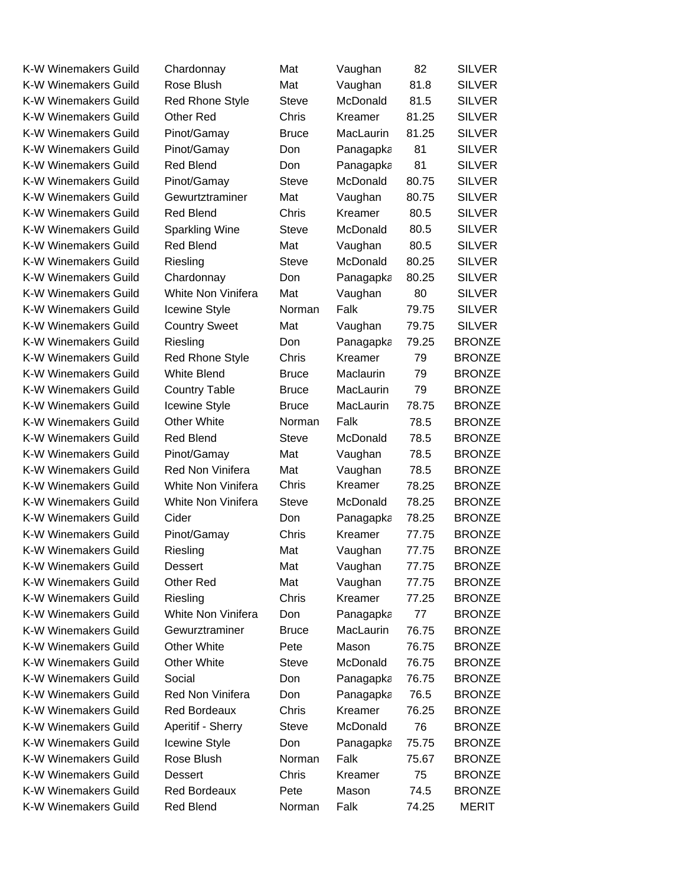| <b>K-W Winemakers Guild</b> | Chardonnay             | Mat          | Vaughan   | 82    | <b>SILVER</b> |
|-----------------------------|------------------------|--------------|-----------|-------|---------------|
| <b>K-W Winemakers Guild</b> | Rose Blush             | Mat          | Vaughan   | 81.8  | <b>SILVER</b> |
| <b>K-W Winemakers Guild</b> | <b>Red Rhone Style</b> | <b>Steve</b> | McDonald  | 81.5  | <b>SILVER</b> |
| K-W Winemakers Guild        | Other Red              | Chris        | Kreamer   | 81.25 | <b>SILVER</b> |
| <b>K-W Winemakers Guild</b> | Pinot/Gamay            | <b>Bruce</b> | MacLaurin | 81.25 | <b>SILVER</b> |
| K-W Winemakers Guild        | Pinot/Gamay            | Don          | Panagapka | 81    | <b>SILVER</b> |
| <b>K-W Winemakers Guild</b> | <b>Red Blend</b>       | Don          | Panagapka | 81    | <b>SILVER</b> |
| <b>K-W Winemakers Guild</b> | Pinot/Gamay            | <b>Steve</b> | McDonald  | 80.75 | <b>SILVER</b> |
| K-W Winemakers Guild        | Gewurtztraminer        | Mat          | Vaughan   | 80.75 | <b>SILVER</b> |
| <b>K-W Winemakers Guild</b> | <b>Red Blend</b>       | <b>Chris</b> | Kreamer   | 80.5  | <b>SILVER</b> |
| <b>K-W Winemakers Guild</b> | <b>Sparkling Wine</b>  | <b>Steve</b> | McDonald  | 80.5  | <b>SILVER</b> |
| <b>K-W Winemakers Guild</b> | <b>Red Blend</b>       | Mat          | Vaughan   | 80.5  | <b>SILVER</b> |
| <b>K-W Winemakers Guild</b> | Riesling               | <b>Steve</b> | McDonald  | 80.25 | <b>SILVER</b> |
| K-W Winemakers Guild        | Chardonnay             | Don          | Panagapka | 80.25 | <b>SILVER</b> |
| <b>K-W Winemakers Guild</b> | White Non Vinifera     | Mat          | Vaughan   | 80    | <b>SILVER</b> |
| K-W Winemakers Guild        | Icewine Style          | Norman       | Falk      | 79.75 | <b>SILVER</b> |
| <b>K-W Winemakers Guild</b> | <b>Country Sweet</b>   | Mat          | Vaughan   | 79.75 | <b>SILVER</b> |
| <b>K-W Winemakers Guild</b> | Riesling               | Don          | Panagapka | 79.25 | <b>BRONZE</b> |
| K-W Winemakers Guild        | <b>Red Rhone Style</b> | <b>Chris</b> | Kreamer   | 79    | <b>BRONZE</b> |
| K-W Winemakers Guild        | <b>White Blend</b>     | <b>Bruce</b> | Maclaurin | 79    | <b>BRONZE</b> |
| K-W Winemakers Guild        | <b>Country Table</b>   | <b>Bruce</b> | MacLaurin | 79    | <b>BRONZE</b> |
| <b>K-W Winemakers Guild</b> | Icewine Style          | <b>Bruce</b> | MacLaurin | 78.75 | <b>BRONZE</b> |
| <b>K-W Winemakers Guild</b> | <b>Other White</b>     | Norman       | Falk      | 78.5  | <b>BRONZE</b> |
| K-W Winemakers Guild        | Red Blend              | <b>Steve</b> | McDonald  | 78.5  | <b>BRONZE</b> |
| <b>K-W Winemakers Guild</b> | Pinot/Gamay            | Mat          | Vaughan   | 78.5  | <b>BRONZE</b> |
| <b>K-W Winemakers Guild</b> | Red Non Vinifera       | Mat          | Vaughan   | 78.5  | <b>BRONZE</b> |
| <b>K-W Winemakers Guild</b> | White Non Vinifera     | Chris        | Kreamer   | 78.25 | <b>BRONZE</b> |
| <b>K-W Winemakers Guild</b> | White Non Vinifera     | <b>Steve</b> | McDonald  | 78.25 | <b>BRONZE</b> |
| <b>K-W Winemakers Guild</b> | Cider                  | Don          | Panagapka | 78.25 | <b>BRONZE</b> |
| <b>K-W Winemakers Guild</b> | Pinot/Gamay            | Chris        | Kreamer   | 77.75 | <b>BRONZE</b> |
| <b>K-W Winemakers Guild</b> | Riesling               | Mat          | Vaughan   | 77.75 | <b>BRONZE</b> |
| K-W Winemakers Guild        | Dessert                | Mat          | Vaughan   | 77.75 | <b>BRONZE</b> |
| K-W Winemakers Guild        | Other Red              | Mat          | Vaughan   | 77.75 | <b>BRONZE</b> |
| <b>K-W Winemakers Guild</b> | Riesling               | Chris        | Kreamer   | 77.25 | <b>BRONZE</b> |
| K-W Winemakers Guild        | White Non Vinifera     | Don          | Panagapka | 77    | <b>BRONZE</b> |
| <b>K-W Winemakers Guild</b> | Gewurztraminer         | <b>Bruce</b> | MacLaurin | 76.75 | <b>BRONZE</b> |
| <b>K-W Winemakers Guild</b> | <b>Other White</b>     | Pete         | Mason     | 76.75 | <b>BRONZE</b> |
| K-W Winemakers Guild        | <b>Other White</b>     | <b>Steve</b> | McDonald  | 76.75 | <b>BRONZE</b> |
| <b>K-W Winemakers Guild</b> | Social                 | Don          | Panagapka | 76.75 | <b>BRONZE</b> |
| K-W Winemakers Guild        | Red Non Vinifera       | Don          | Panagapka | 76.5  | <b>BRONZE</b> |
| K-W Winemakers Guild        | <b>Red Bordeaux</b>    | Chris        | Kreamer   | 76.25 | <b>BRONZE</b> |
| K-W Winemakers Guild        | Aperitif - Sherry      | <b>Steve</b> | McDonald  | 76    | <b>BRONZE</b> |
| K-W Winemakers Guild        | Icewine Style          | Don          | Panagapka | 75.75 | <b>BRONZE</b> |
| K-W Winemakers Guild        | Rose Blush             | Norman       | Falk      | 75.67 | <b>BRONZE</b> |
| K-W Winemakers Guild        | <b>Dessert</b>         | Chris        | Kreamer   | 75    | <b>BRONZE</b> |
| K-W Winemakers Guild        | <b>Red Bordeaux</b>    | Pete         | Mason     | 74.5  | <b>BRONZE</b> |
| K-W Winemakers Guild        | Red Blend              | Norman       | Falk      | 74.25 | <b>MERIT</b>  |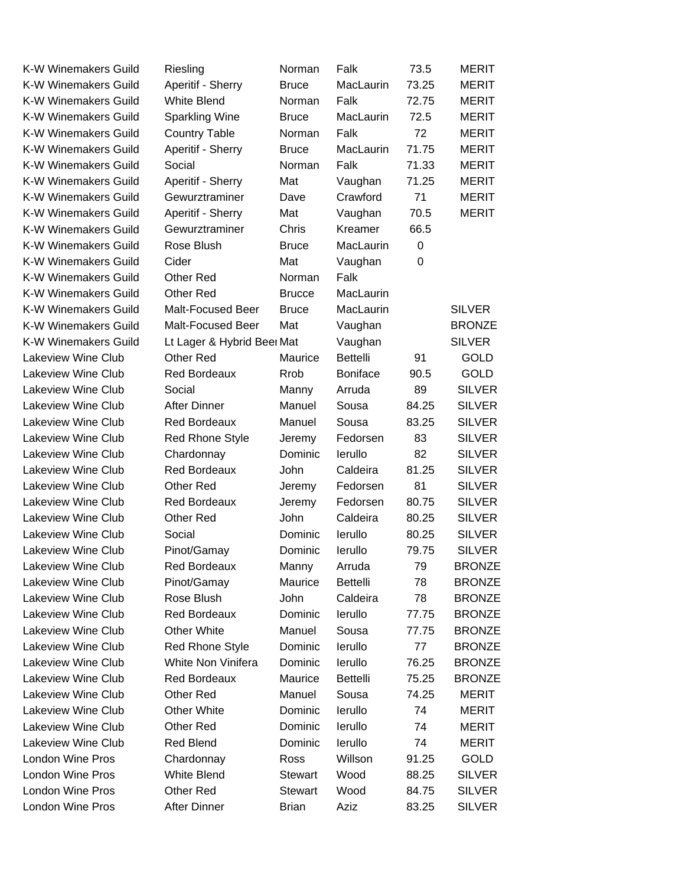| <b>K-W Winemakers Guild</b> | Riesling                   | Norman         | Falk            | 73.5        | <b>MERIT</b>  |
|-----------------------------|----------------------------|----------------|-----------------|-------------|---------------|
| <b>K-W Winemakers Guild</b> | Aperitif - Sherry          | <b>Bruce</b>   | MacLaurin       | 73.25       | <b>MERIT</b>  |
| K-W Winemakers Guild        | <b>White Blend</b>         | Norman         | Falk            | 72.75       | <b>MERIT</b>  |
| K-W Winemakers Guild        | <b>Sparkling Wine</b>      | <b>Bruce</b>   | MacLaurin       | 72.5        | <b>MERIT</b>  |
| <b>K-W Winemakers Guild</b> | <b>Country Table</b>       | Norman         | Falk            | 72          | <b>MERIT</b>  |
| K-W Winemakers Guild        | Aperitif - Sherry          | <b>Bruce</b>   | MacLaurin       | 71.75       | <b>MERIT</b>  |
| K-W Winemakers Guild        | Social                     | Norman         | Falk            | 71.33       | <b>MERIT</b>  |
| K-W Winemakers Guild        | Aperitif - Sherry          | Mat            | Vaughan         | 71.25       | <b>MERIT</b>  |
| <b>K-W Winemakers Guild</b> | Gewurztraminer             | Dave           | Crawford        | 71          | <b>MERIT</b>  |
| K-W Winemakers Guild        | Aperitif - Sherry          | Mat            | Vaughan         | 70.5        | <b>MERIT</b>  |
| K-W Winemakers Guild        | Gewurztraminer             | Chris          | Kreamer         | 66.5        |               |
| K-W Winemakers Guild        | Rose Blush                 | <b>Bruce</b>   | MacLaurin       | 0           |               |
| K-W Winemakers Guild        | Cider                      | Mat            | Vaughan         | $\mathbf 0$ |               |
| <b>K-W Winemakers Guild</b> | <b>Other Red</b>           | Norman         | Falk            |             |               |
| K-W Winemakers Guild        | <b>Other Red</b>           | <b>Brucce</b>  | MacLaurin       |             |               |
| K-W Winemakers Guild        | <b>Malt-Focused Beer</b>   | <b>Bruce</b>   | MacLaurin       |             | <b>SILVER</b> |
| K-W Winemakers Guild        | <b>Malt-Focused Beer</b>   | Mat            | Vaughan         |             | <b>BRONZE</b> |
| K-W Winemakers Guild        | Lt Lager & Hybrid Beer Mat |                | Vaughan         |             | <b>SILVER</b> |
| Lakeview Wine Club          | <b>Other Red</b>           | Maurice        | <b>Bettelli</b> | 91          | <b>GOLD</b>   |
| Lakeview Wine Club          | <b>Red Bordeaux</b>        | Rrob           | <b>Boniface</b> | 90.5        | <b>GOLD</b>   |
| Lakeview Wine Club          | Social                     | Manny          | Arruda          | 89          | <b>SILVER</b> |
| Lakeview Wine Club          | <b>After Dinner</b>        | Manuel         | Sousa           | 84.25       | <b>SILVER</b> |
| Lakeview Wine Club          | <b>Red Bordeaux</b>        | Manuel         | Sousa           | 83.25       | <b>SILVER</b> |
| Lakeview Wine Club          | <b>Red Rhone Style</b>     | Jeremy         | Fedorsen        | 83          | <b>SILVER</b> |
| Lakeview Wine Club          | Chardonnay                 | Dominic        | lerullo         | 82          | <b>SILVER</b> |
| Lakeview Wine Club          | <b>Red Bordeaux</b>        | John           | Caldeira        | 81.25       | <b>SILVER</b> |
| Lakeview Wine Club          | <b>Other Red</b>           | Jeremy         | Fedorsen        | 81          | <b>SILVER</b> |
| Lakeview Wine Club          | <b>Red Bordeaux</b>        | Jeremy         | Fedorsen        | 80.75       | <b>SILVER</b> |
| Lakeview Wine Club          | Other Red                  | John           | Caldeira        | 80.25       | <b>SILVER</b> |
| Lakeview Wine Club          | Social                     | Dominic        | lerullo         | 80.25       | <b>SILVER</b> |
| Lakeview Wine Club          | Pinot/Gamay                | Dominic        | lerullo         | 79.75       | <b>SILVER</b> |
| Lakeview Wine Club          | <b>Red Bordeaux</b>        | Manny          | Arruda          | 79          | <b>BRONZE</b> |
| Lakeview Wine Club          | Pinot/Gamay                | Maurice        | <b>Bettelli</b> | 78          | <b>BRONZE</b> |
| Lakeview Wine Club          | Rose Blush                 | John           | Caldeira        | 78          | <b>BRONZE</b> |
| Lakeview Wine Club          | <b>Red Bordeaux</b>        | Dominic        | lerullo         | 77.75       | <b>BRONZE</b> |
| Lakeview Wine Club          | <b>Other White</b>         | Manuel         | Sousa           | 77.75       | <b>BRONZE</b> |
| Lakeview Wine Club          | <b>Red Rhone Style</b>     | Dominic        | lerullo         | 77          | <b>BRONZE</b> |
| Lakeview Wine Club          | White Non Vinifera         | Dominic        | lerullo         | 76.25       | <b>BRONZE</b> |
| Lakeview Wine Club          | <b>Red Bordeaux</b>        | Maurice        | Bettelli        | 75.25       | <b>BRONZE</b> |
| Lakeview Wine Club          | Other Red                  | Manuel         | Sousa           | 74.25       | <b>MERIT</b>  |
| Lakeview Wine Club          | Other White                | Dominic        | lerullo         | 74          | MERIT         |
| Lakeview Wine Club          | Other Red                  | Dominic        | lerullo         | 74          | MERIT         |
| Lakeview Wine Club          | Red Blend                  | Dominic        | lerullo         | 74          | <b>MERIT</b>  |
| <b>London Wine Pros</b>     | Chardonnay                 | Ross           | Willson         | 91.25       | <b>GOLD</b>   |
| <b>London Wine Pros</b>     | White Blend                | <b>Stewart</b> | Wood            | 88.25       | <b>SILVER</b> |
| <b>London Wine Pros</b>     | Other Red                  | Stewart        | Wood            | 84.75       | <b>SILVER</b> |
| London Wine Pros            | <b>After Dinner</b>        | <b>Brian</b>   | Aziz            | 83.25       | <b>SILVER</b> |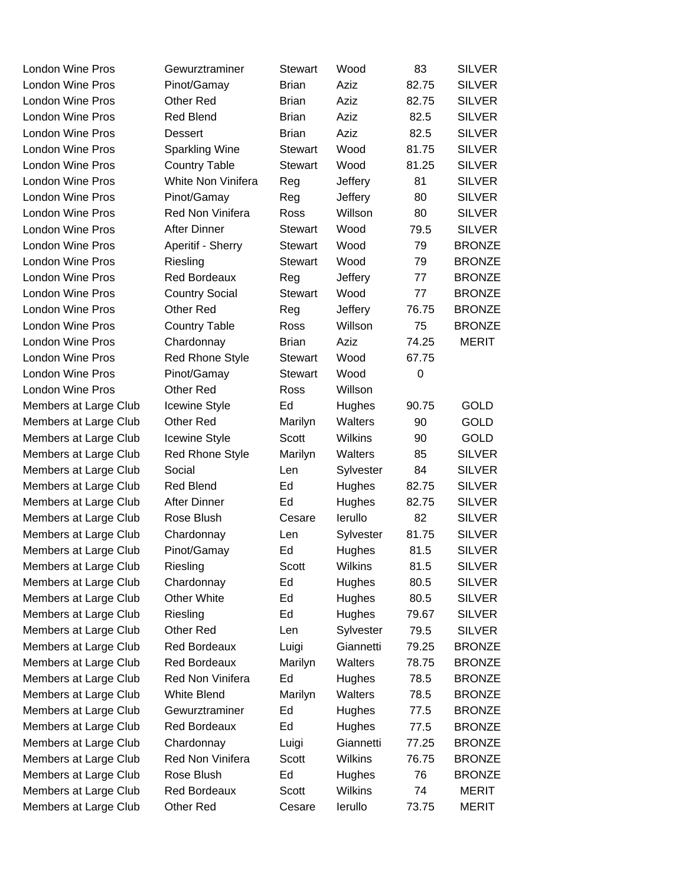| <b>London Wine Pros</b> | Gewurztraminer         | <b>Stewart</b> | Wood           | 83    | <b>SILVER</b> |
|-------------------------|------------------------|----------------|----------------|-------|---------------|
| <b>London Wine Pros</b> | Pinot/Gamay            | <b>Brian</b>   | Aziz           | 82.75 | <b>SILVER</b> |
| <b>London Wine Pros</b> | Other Red              | <b>Brian</b>   | Aziz           | 82.75 | <b>SILVER</b> |
| London Wine Pros        | Red Blend              | <b>Brian</b>   | Aziz           | 82.5  | <b>SILVER</b> |
| <b>London Wine Pros</b> | Dessert                | <b>Brian</b>   | Aziz           | 82.5  | <b>SILVER</b> |
| London Wine Pros        | <b>Sparkling Wine</b>  | <b>Stewart</b> | Wood           | 81.75 | <b>SILVER</b> |
| <b>London Wine Pros</b> | <b>Country Table</b>   | Stewart        | Wood           | 81.25 | <b>SILVER</b> |
| London Wine Pros        | White Non Vinifera     | Reg            | Jeffery        | 81    | <b>SILVER</b> |
| London Wine Pros        | Pinot/Gamay            | Reg            | Jeffery        | 80    | <b>SILVER</b> |
| <b>London Wine Pros</b> | Red Non Vinifera       | Ross           | Willson        | 80    | <b>SILVER</b> |
| London Wine Pros        | <b>After Dinner</b>    | <b>Stewart</b> | Wood           | 79.5  | <b>SILVER</b> |
| <b>London Wine Pros</b> | Aperitif - Sherry      | Stewart        | Wood           | 79    | <b>BRONZE</b> |
| London Wine Pros        | Riesling               | <b>Stewart</b> | Wood           | 79    | <b>BRONZE</b> |
| London Wine Pros        | <b>Red Bordeaux</b>    | Reg            | Jeffery        | 77    | <b>BRONZE</b> |
| London Wine Pros        | <b>Country Social</b>  | <b>Stewart</b> | Wood           | 77    | <b>BRONZE</b> |
| <b>London Wine Pros</b> | Other Red              | Reg            | Jeffery        | 76.75 | <b>BRONZE</b> |
| London Wine Pros        | <b>Country Table</b>   | Ross           | Willson        | 75    | <b>BRONZE</b> |
| <b>London Wine Pros</b> | Chardonnay             | <b>Brian</b>   | Aziz           | 74.25 | <b>MERIT</b>  |
| London Wine Pros        | <b>Red Rhone Style</b> | <b>Stewart</b> | Wood           | 67.75 |               |
| London Wine Pros        | Pinot/Gamay            | <b>Stewart</b> | Wood           | 0     |               |
| <b>London Wine Pros</b> | Other Red              | Ross           | Willson        |       |               |
| Members at Large Club   | <b>Icewine Style</b>   | Ed             | Hughes         | 90.75 | <b>GOLD</b>   |
| Members at Large Club   | Other Red              | Marilyn        | Walters        | 90    | <b>GOLD</b>   |
| Members at Large Club   | Icewine Style          | Scott          | <b>Wilkins</b> | 90    | <b>GOLD</b>   |
| Members at Large Club   | <b>Red Rhone Style</b> | Marilyn        | Walters        | 85    | <b>SILVER</b> |
| Members at Large Club   | Social                 | Len            | Sylvester      | 84    | <b>SILVER</b> |
| Members at Large Club   | <b>Red Blend</b>       | Ed             | Hughes         | 82.75 | <b>SILVER</b> |
| Members at Large Club   | <b>After Dinner</b>    | Ed             | Hughes         | 82.75 | <b>SILVER</b> |
| Members at Large Club   | Rose Blush             | Cesare         | lerullo        | 82    | <b>SILVER</b> |
| Members at Large Club   | Chardonnay             | Len            | Sylvester      | 81.75 | <b>SILVER</b> |
| Members at Large Club   | Pinot/Gamay            | Ed             | Hughes         | 81.5  | <b>SILVER</b> |
| Members at Large Club   | Riesling               | Scott          | Wilkins        | 81.5  | <b>SILVER</b> |
| Members at Large Club   | Chardonnay             | Ed             | Hughes         | 80.5  | <b>SILVER</b> |
| Members at Large Club   | <b>Other White</b>     | Ed             | Hughes         | 80.5  | <b>SILVER</b> |
| Members at Large Club   | Riesling               | Ed             | Hughes         | 79.67 | <b>SILVER</b> |
| Members at Large Club   | Other Red              | Len            | Sylvester      | 79.5  | <b>SILVER</b> |
| Members at Large Club   | <b>Red Bordeaux</b>    | Luigi          | Giannetti      | 79.25 | <b>BRONZE</b> |
| Members at Large Club   | <b>Red Bordeaux</b>    | Marilyn        | Walters        | 78.75 | <b>BRONZE</b> |
| Members at Large Club   | Red Non Vinifera       | Ed             | Hughes         | 78.5  | <b>BRONZE</b> |
| Members at Large Club   | White Blend            | Marilyn        | Walters        | 78.5  | <b>BRONZE</b> |
| Members at Large Club   | Gewurztraminer         | Ed             | Hughes         | 77.5  | <b>BRONZE</b> |
| Members at Large Club   | <b>Red Bordeaux</b>    | Ed             | Hughes         | 77.5  | <b>BRONZE</b> |
| Members at Large Club   | Chardonnay             | Luigi          | Giannetti      | 77.25 | <b>BRONZE</b> |
| Members at Large Club   | Red Non Vinifera       | Scott          | <b>Wilkins</b> | 76.75 | <b>BRONZE</b> |
| Members at Large Club   | Rose Blush             | Ed             | Hughes         | 76    | <b>BRONZE</b> |
| Members at Large Club   | <b>Red Bordeaux</b>    | Scott          | <b>Wilkins</b> | 74    | <b>MERIT</b>  |
| Members at Large Club   | Other Red              | Cesare         | lerullo        | 73.75 | <b>MERIT</b>  |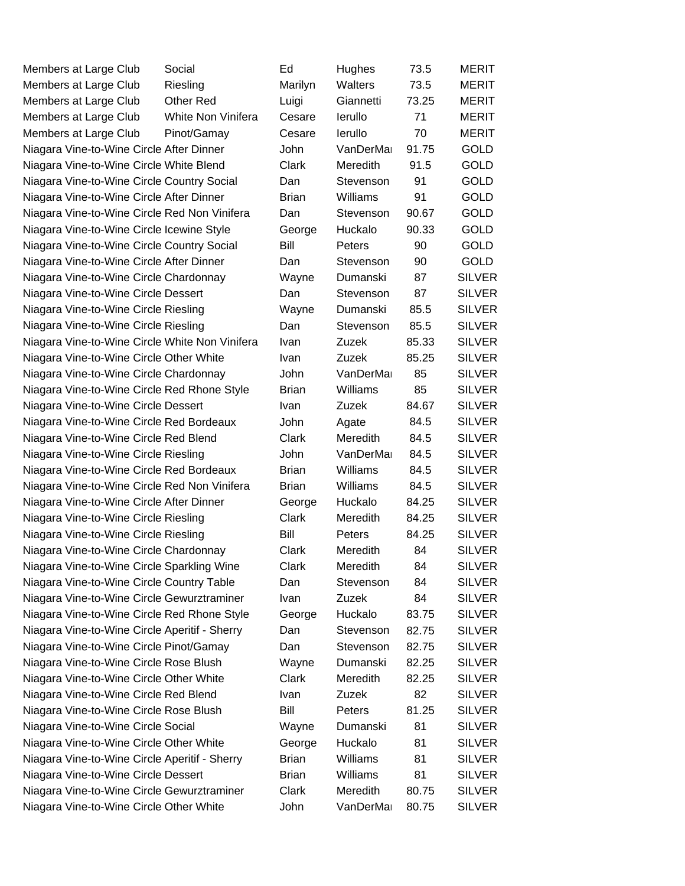| Members at Large Club                          | Social             | Ed           | Hughes          | 73.5  | MERIT         |
|------------------------------------------------|--------------------|--------------|-----------------|-------|---------------|
| Members at Large Club                          | Riesling           | Marilyn      | Walters         | 73.5  | <b>MERIT</b>  |
| Members at Large Club                          | <b>Other Red</b>   | Luigi        | Giannetti       | 73.25 | <b>MERIT</b>  |
| Members at Large Club                          | White Non Vinifera | Cesare       | lerullo         | 71    | MERIT         |
| Members at Large Club                          | Pinot/Gamay        | Cesare       | lerullo         | 70    | <b>MERIT</b>  |
| Niagara Vine-to-Wine Circle After Dinner       |                    | John         | VanDerMa        | 91.75 | <b>GOLD</b>   |
| Niagara Vine-to-Wine Circle White Blend        |                    | Clark        | Meredith        | 91.5  | <b>GOLD</b>   |
| Niagara Vine-to-Wine Circle Country Social     |                    | Dan          | Stevenson       | 91    | <b>GOLD</b>   |
| Niagara Vine-to-Wine Circle After Dinner       |                    | <b>Brian</b> | Williams        | 91    | <b>GOLD</b>   |
| Niagara Vine-to-Wine Circle Red Non Vinifera   |                    | Dan          | Stevenson       | 90.67 | <b>GOLD</b>   |
| Niagara Vine-to-Wine Circle Icewine Style      |                    | George       | Huckalo         | 90.33 | <b>GOLD</b>   |
| Niagara Vine-to-Wine Circle Country Social     |                    | Bill         | Peters          | 90    | <b>GOLD</b>   |
| Niagara Vine-to-Wine Circle After Dinner       |                    | Dan          | Stevenson       | 90    | <b>GOLD</b>   |
| Niagara Vine-to-Wine Circle Chardonnay         |                    | Wayne        | Dumanski        | 87    | <b>SILVER</b> |
| Niagara Vine-to-Wine Circle Dessert            |                    | Dan          | Stevenson       | 87    | <b>SILVER</b> |
| Niagara Vine-to-Wine Circle Riesling           |                    | Wayne        | Dumanski        | 85.5  | <b>SILVER</b> |
| Niagara Vine-to-Wine Circle Riesling           |                    | Dan          | Stevenson       | 85.5  | <b>SILVER</b> |
| Niagara Vine-to-Wine Circle White Non Vinifera |                    | Ivan         | Zuzek           | 85.33 | <b>SILVER</b> |
| Niagara Vine-to-Wine Circle Other White        |                    | Ivan         | Zuzek           | 85.25 | <b>SILVER</b> |
| Niagara Vine-to-Wine Circle Chardonnay         |                    | John         | VanDerMa        | 85    | <b>SILVER</b> |
| Niagara Vine-to-Wine Circle Red Rhone Style    |                    | <b>Brian</b> | Williams        | 85    | <b>SILVER</b> |
| Niagara Vine-to-Wine Circle Dessert            |                    | <b>Ivan</b>  | Zuzek           | 84.67 | <b>SILVER</b> |
| Niagara Vine-to-Wine Circle Red Bordeaux       |                    | John         | Agate           | 84.5  | <b>SILVER</b> |
| Niagara Vine-to-Wine Circle Red Blend          |                    | Clark        | Meredith        | 84.5  | <b>SILVER</b> |
| Niagara Vine-to-Wine Circle Riesling           |                    | John         | VanDerMa        | 84.5  | <b>SILVER</b> |
| Niagara Vine-to-Wine Circle Red Bordeaux       |                    | <b>Brian</b> | Williams        | 84.5  | <b>SILVER</b> |
| Niagara Vine-to-Wine Circle Red Non Vinifera   |                    | <b>Brian</b> | Williams        | 84.5  | <b>SILVER</b> |
| Niagara Vine-to-Wine Circle After Dinner       |                    | George       | Huckalo         | 84.25 | <b>SILVER</b> |
| Niagara Vine-to-Wine Circle Riesling           |                    | Clark        | Meredith        | 84.25 | <b>SILVER</b> |
| Niagara Vine-to-Wine Circle Riesling           |                    | Bill         | Peters          | 84.25 | <b>SILVER</b> |
| Niagara Vine-to-Wine Circle Chardonnay         |                    | Clark        | Meredith        | 84    | <b>SILVER</b> |
| Niagara Vine-to-Wine Circle Sparkling Wine     |                    | Clark        | Meredith        | 84    | <b>SILVER</b> |
| Niagara Vine-to-Wine Circle Country Table      |                    | Dan          | Stevenson       | 84    | <b>SILVER</b> |
| Niagara Vine-to-Wine Circle Gewurztraminer     |                    | <b>Ivan</b>  | Zuzek           | 84    | <b>SILVER</b> |
| Niagara Vine-to-Wine Circle Red Rhone Style    |                    | George       | Huckalo         | 83.75 | <b>SILVER</b> |
| Niagara Vine-to-Wine Circle Aperitif - Sherry  |                    | Dan          | Stevenson       | 82.75 | <b>SILVER</b> |
| Niagara Vine-to-Wine Circle Pinot/Gamay        |                    | Dan          | Stevenson       | 82.75 | <b>SILVER</b> |
| Niagara Vine-to-Wine Circle Rose Blush         |                    | Wayne        | Dumanski        | 82.25 | <b>SILVER</b> |
| Niagara Vine-to-Wine Circle Other White        |                    | Clark        | <b>Meredith</b> | 82.25 | <b>SILVER</b> |
| Niagara Vine-to-Wine Circle Red Blend          |                    | <b>Ivan</b>  | Zuzek           | 82    | <b>SILVER</b> |
| Niagara Vine-to-Wine Circle Rose Blush         |                    | Bill         | Peters          | 81.25 | <b>SILVER</b> |
| Niagara Vine-to-Wine Circle Social             |                    | Wayne        | Dumanski        | 81    | <b>SILVER</b> |
| Niagara Vine-to-Wine Circle Other White        |                    | George       | Huckalo         | 81    | <b>SILVER</b> |
| Niagara Vine-to-Wine Circle Aperitif - Sherry  |                    | <b>Brian</b> | <b>Williams</b> | 81    | <b>SILVER</b> |
| Niagara Vine-to-Wine Circle Dessert            |                    | <b>Brian</b> | Williams        | 81    | <b>SILVER</b> |
| Niagara Vine-to-Wine Circle Gewurztraminer     |                    | Clark        | Meredith        | 80.75 | <b>SILVER</b> |
| Niagara Vine-to-Wine Circle Other White        |                    | John         | VanDerMa        | 80.75 | <b>SILVER</b> |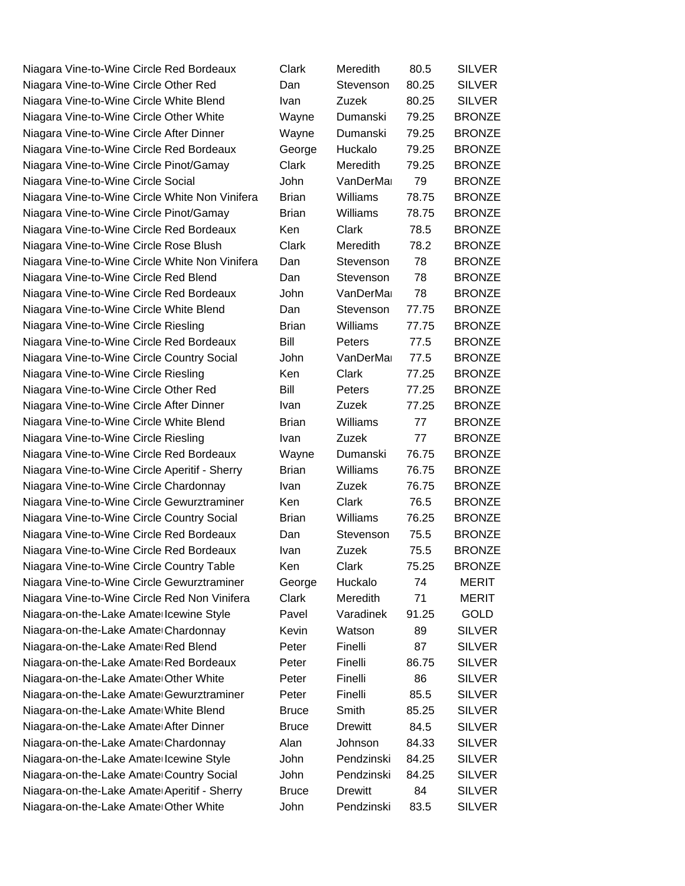Niagara Vine-to-Wine Circle Red Bordeaux C Niagara Vine-to-Wine Circle Other Red Dan Niagara Vine-to-Wine Circle White Blend I Niagara Vine-to-Wine Circle Other White Wayne Dumanski 79.25 Niagara Vine-to-Wine Circle After Dinner V Niagara Vine-to-Wine Circle Red Bordeaux George Huckalo 79.25 Niagara Vine-to-Wine Circle Pinot/Gamay C Niagara Vine-to-Wine Circle Social Niagara Vine-to-Wine Circle White Non Vinifera B Niagara Vine-to-Wine Circle Pinot/Gamay B Niagara Vine-to-Wine Circle Red Bordeaux K Niagara Vine-to-Wine Circle Rose Blush C Niagara Vine-to-Wine Circle White Non Vinifera D Niagara Vine-to-Wine Circle Red Blend Dan Niagara Vine-to-Wine Circle Red Bordeaux Niagara Vine-to-Wine Circle White Blend Dan Niagara Vine-to-Wine Circle Riesling Brian Brian Brian Brian Brian Brian Brian Brian Brian Brian Bri Niagara Vine-to-Wine Circle Red Bordeaux B Niagara Vine-to-Wine Circle Country Social John Van Niagara Vine-to-Wine Circle Riesling Kennes Clark 7 Niagara Vine-to-Wine Circle Other Red Bill Beters 87.25 B Niagara Vine-to-Wine Circle After Dinner Industrian Industrian Industrian Industrian Industrian Industrian Indu Niagara Vine-to-Wine Circle White Blend Brian Brian Brian Brian Brian Brian Brian Brian Brian Brian Brian Brian B Niagara Vine-to-Wine Circle Riesling Ivan Zuzek 7 Niagara Vine-to-Wine Circle Red Bordeaux V Niagara Vine-to-Wine Circle Aperitif - Sherry B Niagara Vine-to-Wine Circle Chardonnay Ivan Ivan Zuzek 76.75 BRD Niagara Vine-to-Wine Circle Gewurztraminer Kender Niagara Vine-to-Wine Circle Country Social Brian B Niagara Vine-to-Wine Circle Red Bordeaux Dan Niagara Vine-to-Wine Circle Red Bordeaux I Niagara Vine-to-Wine Circle Country Table Kend Clark 75.25 Niagara Vine-to-Wine Circle Gewurztraminer G Niagara Vine-to-Wine Circle Red Non Vinifera C Niagara-on-the-Lake Amate Icewine Style Pavel Pavel Varadine Niagara-on-the-Lake Amate Chardonnay Kevin Watson 89 Silver Niagara-on-the-Lake Amate Red Blend F Niagara-on-the-Lake Amate Red Bordeaux F Niagara-on-the-Lake Amate Other White Peter Finally Niagara-on-the-Lake Amate Gewurztraminer F Niagara-on-the-Lake Amate White Blend Bruce Smith 85.25 Bruce Smith 85.25 SILVERS Bruce Smith 85.25 SILVERS SI Niagara-on-the-Lake Amate After Dinner Bruce Bruce Bruce Bruce Bruce Bruce Bruce B Niagara-on-the-Lake Amate Chardonnay A Niagara-on-the-Lake Amate Icewine Style John Bendriks Niagara-on-the-Lake Amate Country Social Niagara-on-the-Lake Amate Aperitif - Sherry Bruce Bruce Bruce Bruce Bruce Bruce B Niagara-on-the-Lake Amate Other White John Pendri 83.5 Silversi 83.5 Silversi 83.5 Silversi 83.5 Sil

| Clark                                                                 | Meredith       | 80.5  | <b>SILVER</b> |
|-----------------------------------------------------------------------|----------------|-------|---------------|
| )an                                                                   | Stevenson      | 80.25 | <b>SILVER</b> |
| van                                                                   | Zuzek          | 80.25 | <b>SILVER</b> |
| Nayne                                                                 | Dumanski       | 79.25 | <b>BRONZE</b> |
| Nayne                                                                 | Dumanski       | 79.25 | <b>BRONZE</b> |
| George                                                                | Huckalo        | 79.25 | <b>BRONZE</b> |
| Clark                                                                 | Meredith       | 79.25 | <b>BRONZE</b> |
| John                                                                  | VanDerMa       | 79    | <b>BRONZE</b> |
| 3rian                                                                 | Williams       | 78.75 | <b>BRONZE</b> |
| 3rian                                                                 | Williams       | 78.75 | <b>BRONZE</b> |
| Ken                                                                   | Clark          | 78.5  | <b>BRONZE</b> |
| Clark                                                                 | Meredith       | 78.2  | <b>BRONZE</b> |
| )an                                                                   | Stevenson      | 78    | <b>BRONZE</b> |
| )an                                                                   | Stevenson      | 78    | <b>BRONZE</b> |
| John                                                                  | VanDerMa       | 78    | <b>BRONZE</b> |
| )an                                                                   | Stevenson      | 77.75 | <b>BRONZE</b> |
| <b>Brian</b>                                                          | Williams       | 77.75 | <b>BRONZE</b> |
| 3ill                                                                  | Peters         | 77.5  | <b>BRONZE</b> |
| John                                                                  | VanDerMa       | 77.5  | <b>BRONZE</b> |
| Ken                                                                   | Clark          | 77.25 | <b>BRONZE</b> |
| 3ill                                                                  | Peters         | 77.25 | <b>BRONZE</b> |
| van                                                                   | Zuzek          | 77.25 | <b>BRONZE</b> |
| 3rian                                                                 | Williams       | 77    | <b>BRONZE</b> |
| van                                                                   | Zuzek          | 77    | <b>BRONZE</b> |
| Nayne                                                                 | Dumanski       | 76.75 | <b>BRONZE</b> |
| 3rian                                                                 | Williams       | 76.75 | <b>BRONZE</b> |
| van                                                                   | Zuzek          | 76.75 | <b>BRONZE</b> |
| Ken                                                                   | Clark          | 76.5  | <b>BRONZE</b> |
| 3rian                                                                 | Williams       | 76.25 | <b>BRONZE</b> |
| )an                                                                   | Stevenson      | 75.5  | <b>BRONZE</b> |
| van                                                                   | Zuzek          | 75.5  | <b>BRONZE</b> |
| Ken                                                                   | Clark          | 75.25 | <b>BRONZE</b> |
| George                                                                | Huckalo        | 74    | <b>MERIT</b>  |
| Clark                                                                 | Meredith       | 71    | <b>MERIT</b>  |
| Pavel                                                                 | Varadinek      | 91.25 | <b>GOLD</b>   |
| <evin< td=""><td>Watson</td><td>89</td><td><b>SILVER</b></td></evin<> | Watson         | 89    | <b>SILVER</b> |
| Peter                                                                 | Finelli        | 87    | <b>SILVER</b> |
| Peter                                                                 | Finelli        | 86.75 | <b>SILVER</b> |
| Peter                                                                 | Finelli        | 86    | <b>SILVER</b> |
| Peter                                                                 | Finelli        | 85.5  | <b>SILVER</b> |
| 3ruce                                                                 | Smith          | 85.25 | <b>SILVER</b> |
| 3ruce                                                                 | <b>Drewitt</b> | 84.5  | <b>SILVER</b> |
| Nan                                                                   | Johnson        | 84.33 | <b>SILVER</b> |
| John                                                                  | Pendzinski     | 84.25 | <b>SILVER</b> |
| John                                                                  | Pendzinski     | 84.25 | <b>SILVER</b> |
| 3ruce                                                                 | <b>Drewitt</b> | 84    | <b>SILVER</b> |
| John                                                                  | Pendzinski     | 83.5  | <b>SILVER</b> |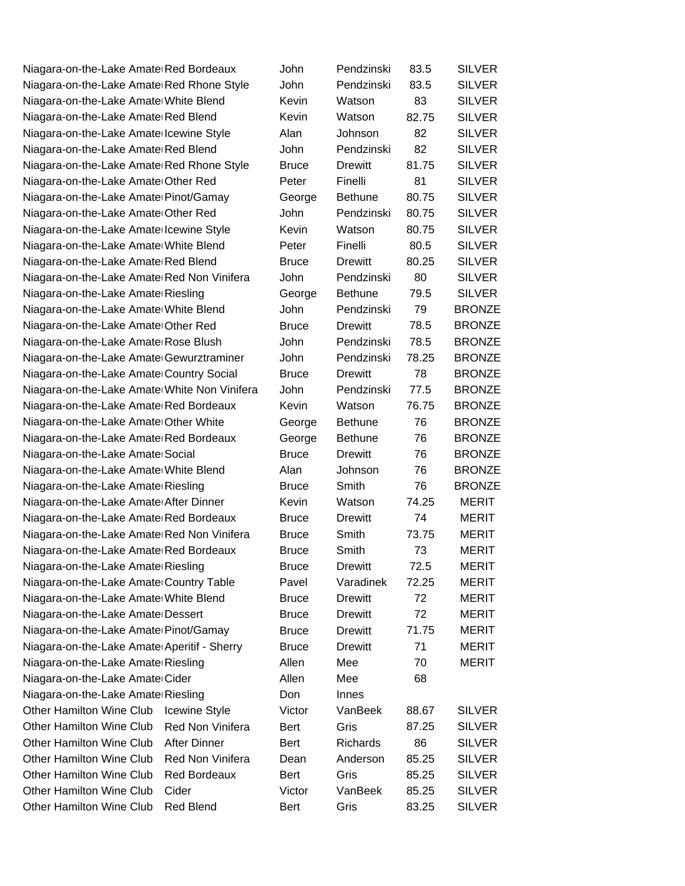Niagara-on-the-Lake AmateuRed Bordeaux John Pendzinski 83.5 SILVER Niagara-on-the-Lake Amate Red Rhone Style J Niagara-on-the-Lake Amate White Blend K Niagara-on-the-Lake Amate Red Blend K Niagara-on-the-Lake Amate Icewine Style A ال<br>Niagara-on-the-Lake Amate Red Blend Niagara-on-the-Lake Amate Red Rhone Style Brune Niagara-on-the-Lake Amate Other Red Peter Finelli 81 SILVER Niagara-on-the-Lake Amate Pinot/Gamay George Bethune 80.75 SILVER ال **Niagara-on-the-Lake Amate Other Red** Niagara-on-the-Lake Amate Icewine Style K Niagara-on-the-Lake Amate White Blend Peter Peter Niagara-on-the-Lake Amate Red Blend Brunce Bruce Bruce Bruce Bruce Bruce Bruce Bruce Bruce Bruce Bruce Bruce B Niagara-on-the-Lake Amate Red Non Vinifera Ju Niagara-on-the-Lake Amate Riesling George Bethune 1 Niagara-on-the-Lake Amate White Blend **John** Pendzinski 79 BRONZE Niagara-on-the-Lake Amate Other Red Bruce Drewitt 78.5 BRONZE Niagara-on-the-Lake Amate Rose Blush John Pendzinski 78.5 BRONZE Niagara-on-the-Lake Amate Gewurztraminer John Pendzinski 78.25 BRONZE Niagara-on-the-Lake Amate Country Social B Niagara-on-the-Lake Amate White Non Vinifera J Niagara-on-the-Lake Amate Red Bordeaux Kevin Watson 76.75 BRONZE Niagara-on-the-Lake Amate Other White George Bethune 36 Niagara-on-the-Lake Amate Red Bordeaux George Bethune 76 BRONZE Niagara-on-the-Lake Amate Social Brunce Drewitt B Niagara-on-the-Lake Amate White Blend Alan Johnson 76 BRONZE Niagara-on-the-Lake Amate Riesling **Bruce** Smith 76 BRONZE Niagara-on-the-Lake Amate After Dinner K Niagara-on-the-Lake Amate Red Bordeaux Brunce Bruce and Bruce and Bruce and Bruce Bruce and Bruce Bruce Drewit Niagara-on-the-Lake Amate Red Non Vinifera B Niagara-on-the-Lake Amate Red Bordeaux B Niagara-on-the-Lake Amate Riesling Bruce Bruce Bruce Bruce Drewitt Riesling Niagara-on-the-Lake Amate Country Table P Niagara-on-the-Lake Amate White Blend B Niagara-on-the-Lake Amate Dessert Brunce Bruce Bruce Bruce Bruce Bruce Bruce Bruce Bruce Bruce Bruce Bruce Bruce B Niagara-on-the-Lake Amate Pinot/Gamay B Niagara-on-the-Lake Amate Aperitif - Sherry B Niagara-on-the-Lake Amate Riesling Meeral Mee Niagara-on-the-Lake Amate Cider Mee 688 Niagara-on-the-Lake Amate Riesling Don Other Hamilton Wine Club Icewine Style V Other Hamilton Wine Club Red Non Vinifera B Other Hamilton Wine Club After Dinner Bert Richards 86 SILVER Other Hamilton Wine Club Red Non Vinifera D Other Hamilton Wine Club Red Bordeaux B Other Hamilton Wine Club Cider Victor Victor V Other Hamilton Wine Club Red Blend B

| ohn              | Pendzinski      | 83.5  | <b>SILVER</b> |
|------------------|-----------------|-------|---------------|
| ohn              | Pendzinski      | 83.5  | <b>SILVER</b> |
| évin)            | Watson          | 83    | <b>SILVER</b> |
| .evin            | Watson          | 82.75 | <b>SILVER</b> |
| lan،             | Johnson         | 82    | <b>SILVER</b> |
| ohn              | Pendzinski      | 82    | <b>SILVER</b> |
| <b>Sruce</b>     | <b>Drewitt</b>  | 81.75 | <b>SILVER</b> |
| eter <sup></sup> | Finelli         | 81    | <b>SILVER</b> |
| George           | <b>Bethune</b>  | 80.75 | <b>SILVER</b> |
| ohn              | Pendzinski      | 80.75 | <b>SILVER</b> |
| evin)            | Watson          | 80.75 | <b>SILVER</b> |
| eter <sup></sup> | Finelli         | 80.5  | <b>SILVER</b> |
| <b>Sruce</b>     | <b>Drewitt</b>  | 80.25 | <b>SILVER</b> |
| ohn              | Pendzinski      | 80    | <b>SILVER</b> |
| George           | <b>Bethune</b>  | 79.5  | <b>SILVER</b> |
| ohn              | Pendzinski      | 79    | <b>BRONZE</b> |
| <b>Sruce</b>     | <b>Drewitt</b>  | 78.5  | <b>BRONZE</b> |
| ohn              | Pendzinski      | 78.5  | <b>BRONZE</b> |
| ohn              | Pendzinski      | 78.25 | <b>BRONZE</b> |
| }ruce            | <b>Drewitt</b>  | 78    | <b>BRONZE</b> |
| ohn              | Pendzinski      | 77.5  | <b>BRONZE</b> |
| evin)            | Watson          | 76.75 | <b>BRONZE</b> |
| George           | <b>Bethune</b>  | 76    | <b>BRONZE</b> |
| George           | <b>Bethune</b>  | 76    | <b>BRONZE</b> |
| <b>Sruce</b>     | <b>Drewitt</b>  | 76    | <b>BRONZE</b> |
| lan              | Johnson         | 76    | <b>BRONZE</b> |
| <b>Sruce</b>     | Smith           | 76    | <b>BRONZE</b> |
| evin)            | Watson          | 74.25 | <b>MERIT</b>  |
| }ruce            | <b>Drewitt</b>  | 74    | <b>MERIT</b>  |
| <b>Sruce</b>     | Smith           | 73.75 | <b>MERIT</b>  |
| <b>Sruce</b>     | Smith           | 73    | <b>MERIT</b>  |
| }ruce            | <b>Drewitt</b>  | 72.5  | <b>MERIT</b>  |
| avel'            | Varadinek       | 72.25 | <b>MERIT</b>  |
| <b>Sruce</b>     | <b>Drewitt</b>  | 72    | <b>MERIT</b>  |
| <b>Sruce</b>     | <b>Drewitt</b>  | 72    | <b>MERIT</b>  |
| }ruce            | <b>Drewitt</b>  | 71.75 | <b>MERIT</b>  |
| }ruce            | <b>Drewitt</b>  | 71    | <b>MERIT</b>  |
| llen             | Mee             | 70    | <b>MERIT</b>  |
| <b>llen</b>      | Mee             | 68    |               |
| )on              | Innes           |       |               |
| 'ictor           | VanBeek         | 88.67 | <b>SILVER</b> |
| ert}             | Gris            | 87.25 | <b>SILVER</b> |
| ert}             | <b>Richards</b> | 86    | <b>SILVER</b> |
| )ean             | Anderson        | 85.25 | <b>SILVER</b> |
| ert}             | Gris            | 85.25 | <b>SILVER</b> |
| 'ictor           | VanBeek         | 85.25 | <b>SILVER</b> |
| ert}             | Gris            | 83.25 | <b>SILVER</b> |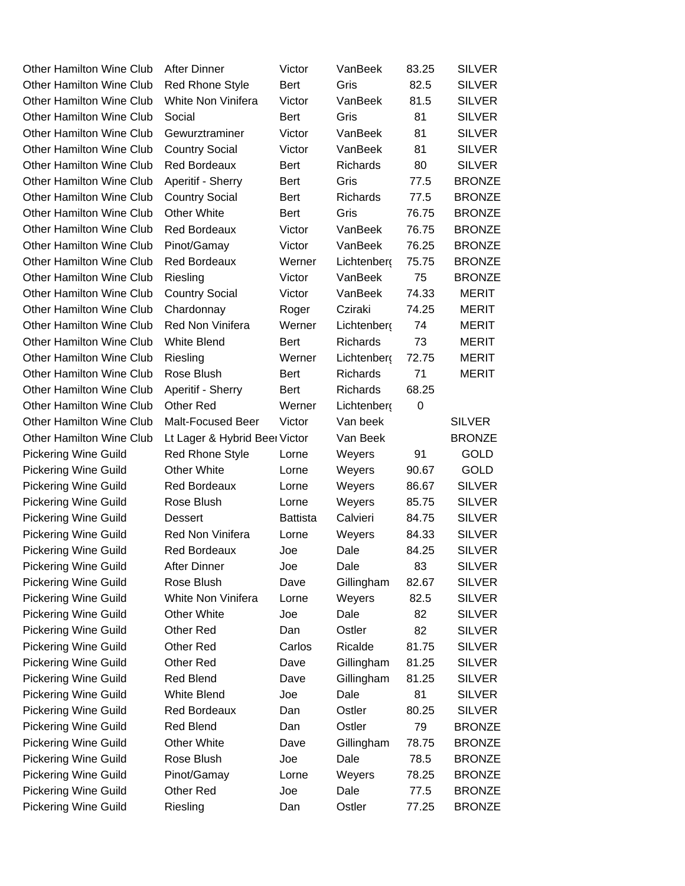| <b>Other Hamilton Wine Club</b> | <b>After Dinner</b>           | Victor      | VanBeek         | 83.25 | <b>SILVER</b> |
|---------------------------------|-------------------------------|-------------|-----------------|-------|---------------|
| <b>Other Hamilton Wine Club</b> | Red Rhone Style               | <b>Bert</b> | Gris            | 82.5  | <b>SILVER</b> |
| Other Hamilton Wine Club        | White Non Vinifera            | Victor      | VanBeek         | 81.5  | <b>SILVER</b> |
| <b>Other Hamilton Wine Club</b> | Social                        | <b>Bert</b> | Gris            | 81    | <b>SILVER</b> |
| <b>Other Hamilton Wine Club</b> | Gewurztraminer                | Victor      | VanBeek         | 81    | <b>SILVER</b> |
| <b>Other Hamilton Wine Club</b> | <b>Country Social</b>         | Victor      | VanBeek         | 81    | <b>SILVER</b> |
| <b>Other Hamilton Wine Club</b> | <b>Red Bordeaux</b>           | Bert        | <b>Richards</b> | 80    | <b>SILVER</b> |
| <b>Other Hamilton Wine Club</b> | Aperitif - Sherry             | <b>Bert</b> | Gris            | 77.5  | <b>BRONZE</b> |
| Other Hamilton Wine Club        | <b>Country Social</b>         | Bert        | <b>Richards</b> | 77.5  | <b>BRONZE</b> |
| <b>Other Hamilton Wine Club</b> | <b>Other White</b>            | <b>Bert</b> | Gris            | 76.75 | <b>BRONZE</b> |
| <b>Other Hamilton Wine Club</b> | <b>Red Bordeaux</b>           | Victor      | VanBeek         | 76.75 | <b>BRONZE</b> |
| Other Hamilton Wine Club        | Pinot/Gamay                   | Victor      | VanBeek         | 76.25 | <b>BRONZE</b> |
| <b>Other Hamilton Wine Club</b> | <b>Red Bordeaux</b>           | Werner      | Lichtenberg     | 75.75 | <b>BRONZE</b> |
| Other Hamilton Wine Club        | Riesling                      | Victor      | VanBeek         | 75    | <b>BRONZE</b> |
| <b>Other Hamilton Wine Club</b> | <b>Country Social</b>         | Victor      | VanBeek         | 74.33 | MERIT         |
| <b>Other Hamilton Wine Club</b> | Chardonnay                    | Roger       | Cziraki         | 74.25 | MERIT         |
| <b>Other Hamilton Wine Club</b> | Red Non Vinifera              | Werner      | Lichtenberg     | 74    | MERIT         |
| <b>Other Hamilton Wine Club</b> | <b>White Blend</b>            | <b>Bert</b> | <b>Richards</b> | 73    | <b>MERIT</b>  |
| <b>Other Hamilton Wine Club</b> | Riesling                      | Werner      | Lichtenberg     | 72.75 | <b>MERIT</b>  |
| <b>Other Hamilton Wine Club</b> | Rose Blush                    | Bert        | <b>Richards</b> | 71    | <b>MERIT</b>  |
| <b>Other Hamilton Wine Club</b> | Aperitif - Sherry             | <b>Bert</b> | <b>Richards</b> | 68.25 |               |
| <b>Other Hamilton Wine Club</b> | <b>Other Red</b>              | Werner      | Lichtenberg     | 0     |               |
| <b>Other Hamilton Wine Club</b> | <b>Malt-Focused Beer</b>      | Victor      | Van beek        |       | <b>SILVER</b> |
| <b>Other Hamilton Wine Club</b> | Lt Lager & Hybrid Beer Victor |             | Van Beek        |       | <b>BRONZE</b> |
| <b>Pickering Wine Guild</b>     | <b>Red Rhone Style</b>        | Lorne       | Weyers          | 91    | <b>GOLD</b>   |
| <b>Pickering Wine Guild</b>     | <b>Other White</b>            | Lorne       | Weyers          | 90.67 | <b>GOLD</b>   |
| <b>Pickering Wine Guild</b>     | <b>Red Bordeaux</b>           | Lorne       | Weyers          | 86.67 | <b>SILVER</b> |
| <b>Pickering Wine Guild</b>     | Rose Blush                    | Lorne       | Weyers          | 85.75 | <b>SILVER</b> |
| <b>Pickering Wine Guild</b>     | Dessert                       | Battista    | Calvieri        | 84.75 | <b>SILVER</b> |
| <b>Pickering Wine Guild</b>     | Red Non Vinifera              | Lorne       | Weyers          | 84.33 | <b>SILVER</b> |
| <b>Pickering Wine Guild</b>     | <b>Red Bordeaux</b>           | Joe         | Dale            | 84.25 | <b>SILVER</b> |
| Pickering Wine Guild            | After Dinner                  | Joe         | Dale            | 83    | <b>SILVER</b> |
| <b>Pickering Wine Guild</b>     | Rose Blush                    | Dave        | Gillingham      | 82.67 | <b>SILVER</b> |
| <b>Pickering Wine Guild</b>     | White Non Vinifera            | Lorne       | Weyers          | 82.5  | <b>SILVER</b> |
| <b>Pickering Wine Guild</b>     | <b>Other White</b>            | Joe         | Dale            | 82    | <b>SILVER</b> |
| <b>Pickering Wine Guild</b>     | Other Red                     | Dan         | Ostler          | 82    | <b>SILVER</b> |
| <b>Pickering Wine Guild</b>     | Other Red                     | Carlos      | Ricalde         | 81.75 | <b>SILVER</b> |
| <b>Pickering Wine Guild</b>     | Other Red                     | Dave        | Gillingham      | 81.25 | <b>SILVER</b> |
| <b>Pickering Wine Guild</b>     | <b>Red Blend</b>              | Dave        | Gillingham      | 81.25 | <b>SILVER</b> |
| <b>Pickering Wine Guild</b>     | <b>White Blend</b>            | Joe         | Dale            | 81    | <b>SILVER</b> |
| <b>Pickering Wine Guild</b>     | <b>Red Bordeaux</b>           | Dan         | Ostler          | 80.25 | <b>SILVER</b> |
| <b>Pickering Wine Guild</b>     | Red Blend                     | Dan         | Ostler          | 79    | <b>BRONZE</b> |
| <b>Pickering Wine Guild</b>     | Other White                   | Dave        | Gillingham      | 78.75 | <b>BRONZE</b> |
| <b>Pickering Wine Guild</b>     | Rose Blush                    | Joe         | Dale            | 78.5  | <b>BRONZE</b> |
| <b>Pickering Wine Guild</b>     | Pinot/Gamay                   | Lorne       | Weyers          | 78.25 | <b>BRONZE</b> |
| <b>Pickering Wine Guild</b>     | Other Red                     | Joe         | Dale            | 77.5  | <b>BRONZE</b> |
| <b>Pickering Wine Guild</b>     | Riesling                      | Dan         | Ostler          | 77.25 | <b>BRONZE</b> |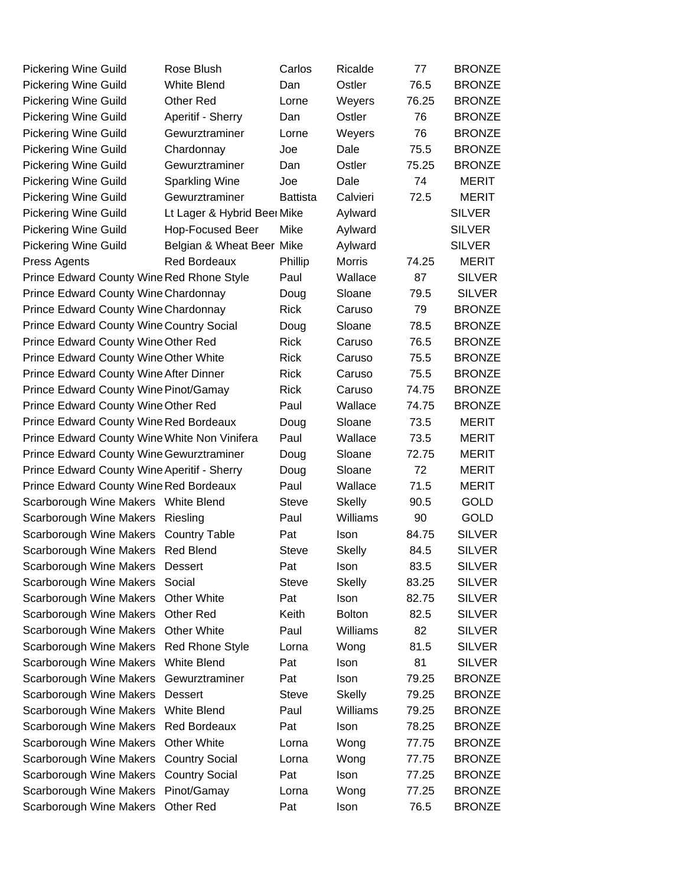| Pickering Wine Guild                            | Rose Blush                  | Carlos          | Ricalde       | 77    | <b>BRONZE</b> |
|-------------------------------------------------|-----------------------------|-----------------|---------------|-------|---------------|
| <b>Pickering Wine Guild</b>                     | <b>White Blend</b>          | Dan             | Ostler        | 76.5  | <b>BRONZE</b> |
| <b>Pickering Wine Guild</b>                     | <b>Other Red</b>            | Lorne           | Weyers        | 76.25 | <b>BRONZE</b> |
| <b>Pickering Wine Guild</b>                     | Aperitif - Sherry           | Dan             | Ostler        | 76    | <b>BRONZE</b> |
| <b>Pickering Wine Guild</b>                     | Gewurztraminer              | Lorne           | Weyers        | 76    | <b>BRONZE</b> |
| <b>Pickering Wine Guild</b>                     | Chardonnay                  | Joe             | Dale          | 75.5  | <b>BRONZE</b> |
| <b>Pickering Wine Guild</b>                     | Gewurztraminer              | Dan             | Ostler        | 75.25 | <b>BRONZE</b> |
| <b>Pickering Wine Guild</b>                     | <b>Sparkling Wine</b>       | Joe             | Dale          | 74    | <b>MERIT</b>  |
| <b>Pickering Wine Guild</b>                     | Gewurztraminer              | <b>Battista</b> | Calvieri      | 72.5  | <b>MERIT</b>  |
| <b>Pickering Wine Guild</b>                     | Lt Lager & Hybrid Beer Mike |                 | Aylward       |       | <b>SILVER</b> |
| <b>Pickering Wine Guild</b>                     | Hop-Focused Beer            | Mike            | Aylward       |       | <b>SILVER</b> |
| <b>Pickering Wine Guild</b>                     | Belgian & Wheat Beer Mike   |                 | Aylward       |       | <b>SILVER</b> |
| Press Agents                                    | <b>Red Bordeaux</b>         | Phillip         | <b>Morris</b> | 74.25 | MERIT         |
| Prince Edward County Wine Red Rhone Style       |                             | Paul            | Wallace       | 87    | <b>SILVER</b> |
| Prince Edward County Wine Chardonnay            |                             | Doug            | Sloane        | 79.5  | <b>SILVER</b> |
| Prince Edward County Wine Chardonnay            |                             | <b>Rick</b>     | Caruso        | 79    | <b>BRONZE</b> |
| <b>Prince Edward County Wine Country Social</b> |                             | Doug            | Sloane        | 78.5  | <b>BRONZE</b> |
| Prince Edward County Wine Other Red             |                             | <b>Rick</b>     | Caruso        | 76.5  | <b>BRONZE</b> |
| Prince Edward County Wine Other White           |                             | <b>Rick</b>     | Caruso        | 75.5  | <b>BRONZE</b> |
| Prince Edward County Wine After Dinner          |                             | <b>Rick</b>     | Caruso        | 75.5  | <b>BRONZE</b> |
| Prince Edward County Wine Pinot/Gamay           |                             | <b>Rick</b>     | Caruso        | 74.75 | <b>BRONZE</b> |
| Prince Edward County Wine Other Red             |                             | Paul            | Wallace       | 74.75 | <b>BRONZE</b> |
| <b>Prince Edward County Wine Red Bordeaux</b>   |                             | Doug            | Sloane        | 73.5  | <b>MERIT</b>  |
| Prince Edward County Wine White Non Vinifera    |                             | Paul            | Wallace       | 73.5  | <b>MERIT</b>  |
| <b>Prince Edward County Wine Gewurztraminer</b> |                             | Doug            | Sloane        | 72.75 | <b>MERIT</b>  |
| Prince Edward County Wine Aperitif - Sherry     |                             | Doug            | Sloane        | 72    | <b>MERIT</b>  |
| Prince Edward County Wine Red Bordeaux          |                             | Paul            | Wallace       | 71.5  | <b>MERIT</b>  |
| Scarborough Wine Makers White Blend             |                             | <b>Steve</b>    | <b>Skelly</b> | 90.5  | <b>GOLD</b>   |
| Scarborough Wine Makers                         | Riesling                    | Paul            | Williams      | 90    | <b>GOLD</b>   |
| Scarborough Wine Makers                         | <b>Country Table</b>        | Pat             | Ison          | 84.75 | <b>SILVER</b> |
| Scarborough Wine Makers Red Blend               |                             | <b>Steve</b>    | <b>Skelly</b> | 84.5  | <b>SILVER</b> |
| <b>Scarborough Wine Makers</b>                  | Dessert                     | Pat             | Ison          | 83.5  | <b>SILVER</b> |
| Scarborough Wine Makers                         | Social                      | <b>Steve</b>    | <b>Skelly</b> | 83.25 | <b>SILVER</b> |
| Scarborough Wine Makers                         | <b>Other White</b>          | Pat             | Ison          | 82.75 | <b>SILVER</b> |
| Scarborough Wine Makers                         | <b>Other Red</b>            | Keith           | <b>Bolton</b> | 82.5  | <b>SILVER</b> |
| Scarborough Wine Makers                         | <b>Other White</b>          | Paul            | Williams      | 82    | <b>SILVER</b> |
| Scarborough Wine Makers                         | <b>Red Rhone Style</b>      | Lorna           | Wong          | 81.5  | <b>SILVER</b> |
| Scarborough Wine Makers                         | White Blend                 | Pat             | Ison          | 81    | <b>SILVER</b> |
| Scarborough Wine Makers                         | Gewurztraminer              | Pat             | <b>Ison</b>   | 79.25 | <b>BRONZE</b> |
| Scarborough Wine Makers                         | Dessert                     | <b>Steve</b>    | <b>Skelly</b> | 79.25 | <b>BRONZE</b> |
| Scarborough Wine Makers                         | <b>White Blend</b>          | Paul            | Williams      | 79.25 | <b>BRONZE</b> |
| Scarborough Wine Makers                         | <b>Red Bordeaux</b>         | Pat             | Ison          | 78.25 | <b>BRONZE</b> |
| Scarborough Wine Makers                         | <b>Other White</b>          | Lorna           | Wong          | 77.75 | <b>BRONZE</b> |
| Scarborough Wine Makers                         | <b>Country Social</b>       | Lorna           | Wong          | 77.75 | <b>BRONZE</b> |
| Scarborough Wine Makers                         | <b>Country Social</b>       | Pat             | Ison          | 77.25 | <b>BRONZE</b> |
| Scarborough Wine Makers                         | Pinot/Gamay                 | Lorna           | Wong          | 77.25 | <b>BRONZE</b> |
| Scarborough Wine Makers                         | Other Red                   | Pat             | Ison          | 76.5  | <b>BRONZE</b> |
|                                                 |                             |                 |               |       |               |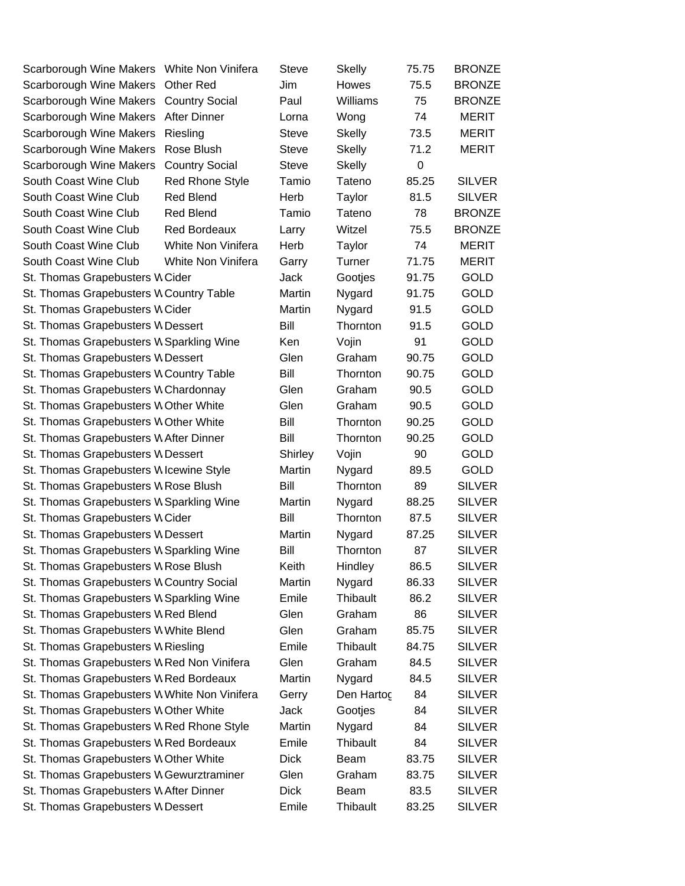| Scarborough Wine Makers White Non Vinifera   |                        | Steve        | <b>Skelly</b> | 75.75 | <b>BRONZE</b> |
|----------------------------------------------|------------------------|--------------|---------------|-------|---------------|
| Scarborough Wine Makers                      | <b>Other Red</b>       | Jim          | Howes         | 75.5  | <b>BRONZE</b> |
| Scarborough Wine Makers                      | <b>Country Social</b>  | Paul         | Williams      | 75    | <b>BRONZE</b> |
| Scarborough Wine Makers                      | <b>After Dinner</b>    | Lorna        | Wong          | 74    | <b>MERIT</b>  |
| Scarborough Wine Makers                      | Riesling               | <b>Steve</b> | <b>Skelly</b> | 73.5  | <b>MERIT</b>  |
| Scarborough Wine Makers                      | Rose Blush             | Steve        | <b>Skelly</b> | 71.2  | MERIT         |
| Scarborough Wine Makers                      | <b>Country Social</b>  | <b>Steve</b> | <b>Skelly</b> | 0     |               |
| South Coast Wine Club                        | <b>Red Rhone Style</b> | Tamio        | Tateno        | 85.25 | <b>SILVER</b> |
| South Coast Wine Club                        | <b>Red Blend</b>       | Herb         | Taylor        | 81.5  | <b>SILVER</b> |
| South Coast Wine Club                        | <b>Red Blend</b>       | Tamio        | Tateno        | 78    | <b>BRONZE</b> |
| South Coast Wine Club                        | <b>Red Bordeaux</b>    | Larry        | Witzel        | 75.5  | <b>BRONZE</b> |
| South Coast Wine Club                        | White Non Vinifera     | Herb         | Taylor        | 74    | <b>MERIT</b>  |
| South Coast Wine Club                        | White Non Vinifera     | Garry        | Turner        | 71.75 | <b>MERIT</b>  |
| St. Thomas Grapebusters W Cider              |                        | Jack         | Gootjes       | 91.75 | <b>GOLD</b>   |
| St. Thomas Grapebusters W Country Table      |                        | Martin       | Nygard        | 91.75 | <b>GOLD</b>   |
| St. Thomas Grapebusters W Cider              |                        | Martin       | Nygard        | 91.5  | GOLD          |
| St. Thomas Grapebusters W Dessert            |                        | Bill         | Thornton      | 91.5  | <b>GOLD</b>   |
| St. Thomas Grapebusters W Sparkling Wine     |                        | Ken          | Vojin         | 91    | <b>GOLD</b>   |
| St. Thomas Grapebusters W Dessert            |                        | Glen         | Graham        | 90.75 | <b>GOLD</b>   |
| St. Thomas Grapebusters W Country Table      |                        | Bill         | Thornton      | 90.75 | <b>GOLD</b>   |
| St. Thomas Grapebusters W Chardonnay         |                        | Glen         | Graham        | 90.5  | <b>GOLD</b>   |
| St. Thomas Grapebusters W Other White        |                        | Glen         | Graham        | 90.5  | <b>GOLD</b>   |
| St. Thomas Grapebusters W Other White        |                        | Bill         | Thornton      | 90.25 | <b>GOLD</b>   |
| St. Thomas Grapebusters W After Dinner       |                        | Bill         | Thornton      | 90.25 | <b>GOLD</b>   |
| St. Thomas Grapebusters W Dessert            |                        | Shirley      | Vojin         | 90    | <b>GOLD</b>   |
| St. Thomas Grapebusters W Icewine Style      |                        | Martin       | Nygard        | 89.5  | <b>GOLD</b>   |
| St. Thomas Grapebusters W Rose Blush         |                        | Bill         | Thornton      | 89    | <b>SILVER</b> |
| St. Thomas Grapebusters W Sparkling Wine     |                        | Martin       | Nygard        | 88.25 | <b>SILVER</b> |
| St. Thomas Grapebusters W Cider              |                        | Bill         | Thornton      | 87.5  | <b>SILVER</b> |
| St. Thomas Grapebusters W Dessert            |                        | Martin       | Nygard        | 87.25 | <b>SILVER</b> |
| St. Thomas Grapebusters W Sparkling Wine     |                        | Bill         | Thornton      | 87    | <b>SILVER</b> |
| St. Thomas Grapebusters W Rose Blush         |                        | Keith        | Hindley       | 86.5  | <b>SILVER</b> |
| St. Thomas Grapebusters W Country Social     |                        | Martin       | Nygard        | 86.33 | <b>SILVER</b> |
| St. Thomas Grapebusters W Sparkling Wine     |                        | Emile        | Thibault      | 86.2  | <b>SILVER</b> |
| St. Thomas Grapebusters W Red Blend          |                        | Glen         | Graham        | 86    | <b>SILVER</b> |
| St. Thomas Grapebusters W White Blend        |                        | Glen         | Graham        | 85.75 | <b>SILVER</b> |
| St. Thomas Grapebusters W Riesling           |                        | Emile        | Thibault      | 84.75 | <b>SILVER</b> |
| St. Thomas Grapebusters W Red Non Vinifera   |                        | Glen         | Graham        | 84.5  | <b>SILVER</b> |
| St. Thomas Grapebusters W Red Bordeaux       |                        | Martin       | Nygard        | 84.5  | <b>SILVER</b> |
| St. Thomas Grapebusters W White Non Vinifera |                        | Gerry        | Den Hartog    | 84    | <b>SILVER</b> |
| St. Thomas Grapebusters W Other White        |                        | Jack         | Gootjes       | 84    | <b>SILVER</b> |
| St. Thomas Grapebusters W Red Rhone Style    |                        | Martin       | Nygard        | 84    | <b>SILVER</b> |
| St. Thomas Grapebusters W Red Bordeaux       |                        | Emile        | Thibault      | 84    | <b>SILVER</b> |
| St. Thomas Grapebusters W Other White        |                        | <b>Dick</b>  | Beam          | 83.75 | <b>SILVER</b> |
| St. Thomas Grapebusters W Gewurztraminer     |                        | Glen         | Graham        | 83.75 | <b>SILVER</b> |
| St. Thomas Grapebusters W After Dinner       |                        | <b>Dick</b>  | Beam          | 83.5  | <b>SILVER</b> |
| St. Thomas Grapebusters W Dessert            |                        | Emile        | Thibault      | 83.25 | <b>SILVER</b> |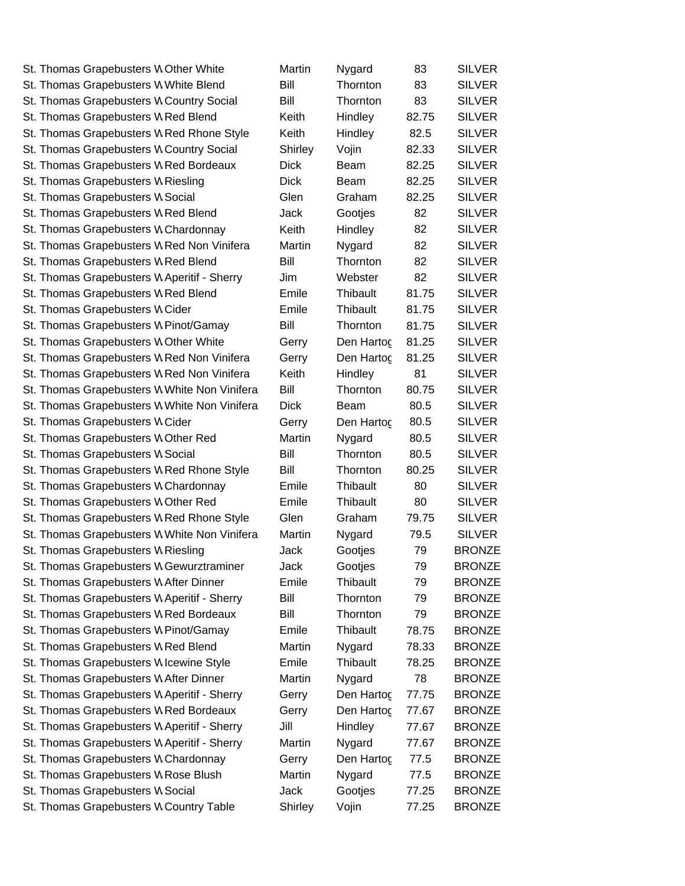| St. Thomas Grapebusters W Other White        | Martin       | Nygard             | 83    | <b>SILVER</b> |
|----------------------------------------------|--------------|--------------------|-------|---------------|
| St. Thomas Grapebusters W White Blend        | Bill         | Thornton           | 83    | <b>SILVER</b> |
| St. Thomas Grapebusters W Country Social     | Bill         | Thornton           | 83    | <b>SILVER</b> |
| St. Thomas Grapebusters W Red Blend          | Keith        | Hindley            | 82.75 | <b>SILVER</b> |
| St. Thomas Grapebusters W Red Rhone Style    | Keith        | Hindley            | 82.5  | <b>SILVER</b> |
| St. Thomas Grapebusters W Country Social     | Shirley      | Vojin              | 82.33 | <b>SILVER</b> |
| St. Thomas Grapebusters W Red Bordeaux       | <b>Dick</b>  | Beam               | 82.25 | <b>SILVER</b> |
| St. Thomas Grapebusters W Riesling           | <b>Dick</b>  | <b>Beam</b>        | 82.25 | <b>SILVER</b> |
| St. Thomas Grapebusters W Social             | Glen         | Graham             | 82.25 | <b>SILVER</b> |
| St. Thomas Grapebusters W Red Blend          | Jack         | Gootjes            | 82    | <b>SILVER</b> |
| St. Thomas Grapebusters W Chardonnay         | Keith        | Hindley            | 82    | <b>SILVER</b> |
| St. Thomas Grapebusters W Red Non Vinifera   | Martin       | Nygard             | 82    | <b>SILVER</b> |
| St. Thomas Grapebusters W Red Blend          | Bill         | Thornton           | 82    | <b>SILVER</b> |
| St. Thomas Grapebusters W Aperitif - Sherry  | Jim          | Webster            | 82    | <b>SILVER</b> |
| St. Thomas Grapebusters W Red Blend          | Emile        | Thibault           | 81.75 | <b>SILVER</b> |
| St. Thomas Grapebusters W Cider              | Emile        | Thibault           | 81.75 | <b>SILVER</b> |
| St. Thomas Grapebusters W Pinot/Gamay        | Bill         | Thornton           | 81.75 | <b>SILVER</b> |
| St. Thomas Grapebusters W Other White        | Gerry        | Den Hartog         | 81.25 | <b>SILVER</b> |
| St. Thomas Grapebusters W Red Non Vinifera   | Gerry        | Den Hartoc         | 81.25 | <b>SILVER</b> |
| St. Thomas Grapebusters W Red Non Vinifera   | Keith        | Hindley            | 81    | <b>SILVER</b> |
| St. Thomas Grapebusters W White Non Vinifera | Bill         | Thornton           | 80.75 | <b>SILVER</b> |
| St. Thomas Grapebusters W White Non Vinifera | <b>Dick</b>  | Beam               | 80.5  | <b>SILVER</b> |
| St. Thomas Grapebusters W Cider              | Gerry        | Den Hartog         | 80.5  | <b>SILVER</b> |
| St. Thomas Grapebusters W Other Red          | Martin       | Nygard             | 80.5  | <b>SILVER</b> |
| St. Thomas Grapebusters W Social             | Bill         | Thornton           | 80.5  | <b>SILVER</b> |
| St. Thomas Grapebusters W Red Rhone Style    | Bill         | Thornton           | 80.25 | <b>SILVER</b> |
| St. Thomas Grapebusters W Chardonnay         | Emile        | Thibault           | 80    | <b>SILVER</b> |
| St. Thomas Grapebusters W Other Red          | Emile        | Thibault           | 80    | <b>SILVER</b> |
| St. Thomas Grapebusters W Red Rhone Style    | Glen         | Graham             | 79.75 | <b>SILVER</b> |
| St. Thomas Grapebusters W White Non Vinifera | Martin       |                    | 79.5  | <b>SILVER</b> |
| St. Thomas Grapebusters W Riesling           |              | Nygard             | 79    | <b>BRONZE</b> |
| St. Thomas Grapebusters W Gewurztraminer     | Jack<br>Jack | Gootjes<br>Gootjes | 79    | <b>BRONZE</b> |
|                                              | Emile        | Thibault           |       |               |
| St. Thomas Grapebusters W After Dinner       |              |                    | 79    | <b>BRONZE</b> |
| St. Thomas Grapebusters W Aperitif - Sherry  | Bill         | Thornton           | 79    | <b>BRONZE</b> |
| St. Thomas Grapebusters W Red Bordeaux       | Bill         | Thornton           | 79    | <b>BRONZE</b> |
| St. Thomas Grapebusters W Pinot/Gamay        | Emile        | Thibault           | 78.75 | <b>BRONZE</b> |
| St. Thomas Grapebusters W Red Blend          | Martin       | Nygard             | 78.33 | <b>BRONZE</b> |
| St. Thomas Grapebusters W Icewine Style      | Emile        | Thibault           | 78.25 | <b>BRONZE</b> |
| St. Thomas Grapebusters W After Dinner       | Martin       | Nygard             | 78    | <b>BRONZE</b> |
| St. Thomas Grapebusters W Aperitif - Sherry  | Gerry        | Den Hartog         | 77.75 | <b>BRONZE</b> |
| St. Thomas Grapebusters W Red Bordeaux       | Gerry        | Den Hartog         | 77.67 | <b>BRONZE</b> |
| St. Thomas Grapebusters W Aperitif - Sherry  | Jill         | Hindley            | 77.67 | <b>BRONZE</b> |
| St. Thomas Grapebusters W Aperitif - Sherry  | Martin       | Nygard             | 77.67 | <b>BRONZE</b> |
| St. Thomas Grapebusters W Chardonnay         | Gerry        | Den Hartog         | 77.5  | <b>BRONZE</b> |
| St. Thomas Grapebusters W Rose Blush         | Martin       | Nygard             | 77.5  | <b>BRONZE</b> |
| St. Thomas Grapebusters W Social             | Jack         | Gootjes            | 77.25 | <b>BRONZE</b> |
| St. Thomas Grapebusters W Country Table      | Shirley      | Vojin              | 77.25 | <b>BRONZE</b> |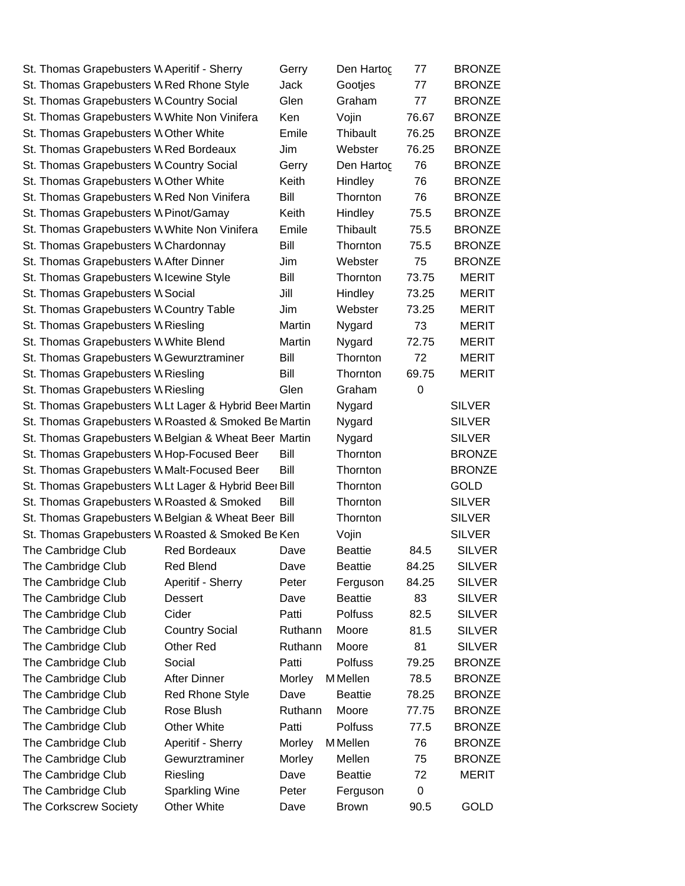| St. Thomas Grapebusters W Aperitif - Sherry |                                                        | Gerry   | Den Hartog      | 77          | <b>BRONZE</b> |
|---------------------------------------------|--------------------------------------------------------|---------|-----------------|-------------|---------------|
|                                             | St. Thomas Grapebusters W Red Rhone Style              | Jack    | Gootjes         | 77          | <b>BRONZE</b> |
| St. Thomas Grapebusters W Country Social    |                                                        | Glen    | Graham          | 77          | <b>BRONZE</b> |
|                                             | St. Thomas Grapebusters W White Non Vinifera           | Ken     | Vojin           | 76.67       | <b>BRONZE</b> |
| St. Thomas Grapebusters W Other White       |                                                        | Emile   | Thibault        | 76.25       | <b>BRONZE</b> |
| St. Thomas Grapebusters W Red Bordeaux      |                                                        | Jim     | Webster         | 76.25       | <b>BRONZE</b> |
| St. Thomas Grapebusters W Country Social    |                                                        | Gerry   | Den Hartog      | 76          | <b>BRONZE</b> |
| St. Thomas Grapebusters W Other White       |                                                        | Keith   | Hindley         | 76          | <b>BRONZE</b> |
|                                             | St. Thomas Grapebusters W Red Non Vinifera             | Bill    | Thornton        | 76          | <b>BRONZE</b> |
| St. Thomas Grapebusters W Pinot/Gamay       |                                                        | Keith   | Hindley         | 75.5        | <b>BRONZE</b> |
|                                             | St. Thomas Grapebusters W White Non Vinifera           | Emile   | Thibault        | 75.5        | <b>BRONZE</b> |
| St. Thomas Grapebusters W Chardonnay        |                                                        | Bill    | Thornton        | 75.5        | <b>BRONZE</b> |
| St. Thomas Grapebusters W After Dinner      |                                                        | Jim     | Webster         | 75          | <b>BRONZE</b> |
| St. Thomas Grapebusters W Icewine Style     |                                                        | Bill    | Thornton        | 73.75       | <b>MERIT</b>  |
| St. Thomas Grapebusters W Social            |                                                        | Jill    | Hindley         | 73.25       | <b>MERIT</b>  |
| St. Thomas Grapebusters W Country Table     |                                                        | Jim     | Webster         | 73.25       | <b>MERIT</b>  |
| St. Thomas Grapebusters W Riesling          |                                                        | Martin  | Nygard          | 73          | <b>MERIT</b>  |
| St. Thomas Grapebusters W White Blend       |                                                        | Martin  | Nygard          | 72.75       | <b>MERIT</b>  |
|                                             | St. Thomas Grapebusters W Gewurztraminer               | Bill    | Thornton        | 72          | <b>MERIT</b>  |
| St. Thomas Grapebusters W Riesling          |                                                        | Bill    | Thornton        | 69.75       | <b>MERIT</b>  |
| St. Thomas Grapebusters W Riesling          |                                                        | Glen    | Graham          | $\mathbf 0$ |               |
|                                             | St. Thomas Grapebusters WLt Lager & Hybrid Beer Martin |         | Nygard          |             | <b>SILVER</b> |
|                                             | St. Thomas Grapebusters W Roasted & Smoked Be Martin   |         | Nygard          |             | <b>SILVER</b> |
|                                             | St. Thomas Grapebusters W Belgian & Wheat Beer Martin  |         | Nygard          |             | <b>SILVER</b> |
|                                             | St. Thomas Grapebusters W Hop-Focused Beer             | Bill    | Thornton        |             | <b>BRONZE</b> |
|                                             | St. Thomas Grapebusters W Malt-Focused Beer            | Bill    | Thornton        |             | <b>BRONZE</b> |
|                                             | St. Thomas Grapebusters WLt Lager & Hybrid Beer Bill   |         | Thornton        |             | <b>GOLD</b>   |
|                                             | St. Thomas Grapebusters W Roasted & Smoked             | Bill    | Thornton        |             | <b>SILVER</b> |
|                                             | St. Thomas Grapebusters W Belgian & Wheat Beer Bill    |         | Thornton        |             | <b>SILVER</b> |
|                                             | St. Thomas Grapebusters W Roasted & Smoked Be Ken      |         | Vojin           |             | <b>SILVER</b> |
| The Cambridge Club                          | <b>Red Bordeaux</b>                                    | Dave    | <b>Beattie</b>  | 84.5        | <b>SILVER</b> |
| The Cambridge Club                          | <b>Red Blend</b>                                       | Dave    | <b>Beattie</b>  | 84.25       | <b>SILVER</b> |
| The Cambridge Club                          | Aperitif - Sherry                                      | Peter   | Ferguson        | 84.25       | <b>SILVER</b> |
| The Cambridge Club                          | Dessert                                                | Dave    | <b>Beattie</b>  | 83          | <b>SILVER</b> |
| The Cambridge Club                          | Cider                                                  | Patti   | Polfuss         | 82.5        | <b>SILVER</b> |
| The Cambridge Club                          | <b>Country Social</b>                                  | Ruthann | Moore           | 81.5        | <b>SILVER</b> |
| The Cambridge Club                          | Other Red                                              | Ruthann | Moore           | 81          | <b>SILVER</b> |
| The Cambridge Club                          | Social                                                 | Patti   | <b>Polfuss</b>  | 79.25       | <b>BRONZE</b> |
|                                             | After Dinner                                           |         | M Mellen        |             |               |
| The Cambridge Club                          |                                                        | Morley  |                 | 78.5        | <b>BRONZE</b> |
| The Cambridge Club                          | <b>Red Rhone Style</b>                                 | Dave    | <b>Beattie</b>  | 78.25       | <b>BRONZE</b> |
| The Cambridge Club                          | Rose Blush                                             | Ruthann | Moore           | 77.75       | <b>BRONZE</b> |
| The Cambridge Club                          | <b>Other White</b>                                     | Patti   | Polfuss         | 77.5        | <b>BRONZE</b> |
| The Cambridge Club                          | Aperitif - Sherry                                      | Morley  | <b>M</b> Mellen | 76          | <b>BRONZE</b> |
| The Cambridge Club                          | Gewurztraminer                                         | Morley  | Mellen          | 75          | <b>BRONZE</b> |
| The Cambridge Club                          | Riesling                                               | Dave    | <b>Beattie</b>  | 72          | MERIT         |
| The Cambridge Club                          | <b>Sparkling Wine</b>                                  | Peter   | Ferguson        | 0           |               |
| The Corkscrew Society                       | Other White                                            | Dave    | <b>Brown</b>    | 90.5        | GOLD          |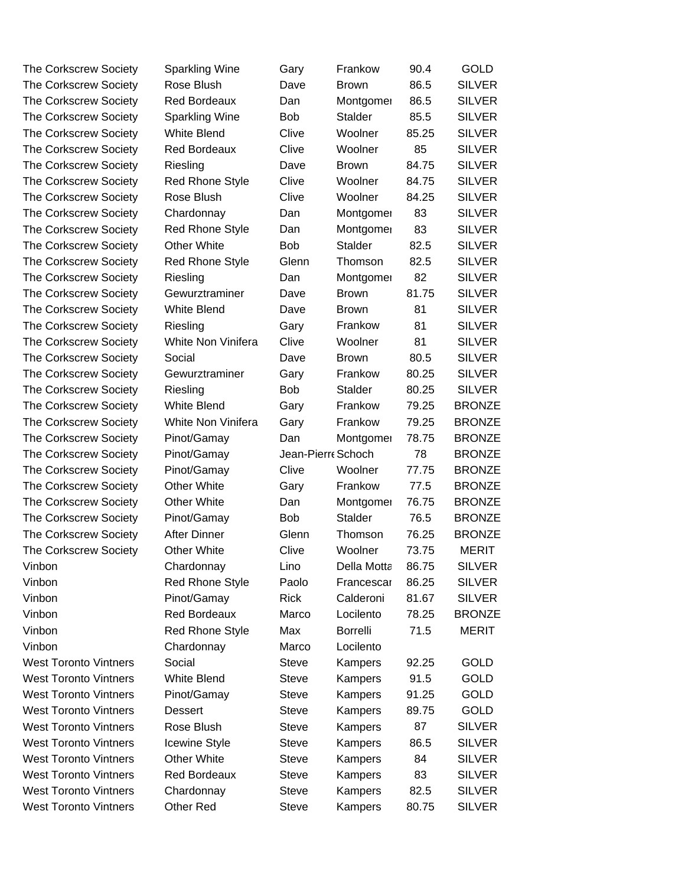| The Corkscrew Society        | Sparkling Wine         | Gary              | Frankow         | 90.4  | <b>GOLD</b>   |
|------------------------------|------------------------|-------------------|-----------------|-------|---------------|
| The Corkscrew Society        | Rose Blush             | Dave              | <b>Brown</b>    | 86.5  | <b>SILVER</b> |
| <b>The Corkscrew Society</b> | <b>Red Bordeaux</b>    | Dan               | Montgomer       | 86.5  | <b>SILVER</b> |
| The Corkscrew Society        | <b>Sparkling Wine</b>  | <b>Bob</b>        | Stalder         | 85.5  | <b>SILVER</b> |
| <b>The Corkscrew Society</b> | <b>White Blend</b>     | Clive             | Woolner         | 85.25 | <b>SILVER</b> |
| The Corkscrew Society        | <b>Red Bordeaux</b>    | Clive             | Woolner         | 85    | <b>SILVER</b> |
| The Corkscrew Society        | Riesling               | Dave              | <b>Brown</b>    | 84.75 | <b>SILVER</b> |
| The Corkscrew Society        | <b>Red Rhone Style</b> | Clive             | Woolner         | 84.75 | <b>SILVER</b> |
| The Corkscrew Society        | Rose Blush             | Clive             | Woolner         | 84.25 | <b>SILVER</b> |
| The Corkscrew Society        | Chardonnay             | Dan               | Montgomer       | 83    | <b>SILVER</b> |
| The Corkscrew Society        | <b>Red Rhone Style</b> | Dan               | Montgomer       | 83    | <b>SILVER</b> |
| The Corkscrew Society        | <b>Other White</b>     | <b>Bob</b>        | <b>Stalder</b>  | 82.5  | <b>SILVER</b> |
| The Corkscrew Society        | <b>Red Rhone Style</b> | Glenn             | Thomson         | 82.5  | <b>SILVER</b> |
| The Corkscrew Society        | Riesling               | Dan               | Montgomer       | 82    | <b>SILVER</b> |
| The Corkscrew Society        | Gewurztraminer         | Dave              | <b>Brown</b>    | 81.75 | <b>SILVER</b> |
| The Corkscrew Society        | <b>White Blend</b>     | Dave              | <b>Brown</b>    | 81    | <b>SILVER</b> |
| The Corkscrew Society        | Riesling               | Gary              | Frankow         | 81    | <b>SILVER</b> |
| The Corkscrew Society        | White Non Vinifera     | Clive             | Woolner         | 81    | <b>SILVER</b> |
| <b>The Corkscrew Society</b> | Social                 | Dave              | <b>Brown</b>    | 80.5  | <b>SILVER</b> |
| The Corkscrew Society        | Gewurztraminer         | Gary              | Frankow         | 80.25 | <b>SILVER</b> |
| The Corkscrew Society        | Riesling               | <b>Bob</b>        | <b>Stalder</b>  | 80.25 | <b>SILVER</b> |
| The Corkscrew Society        | <b>White Blend</b>     | Gary              | Frankow         | 79.25 | <b>BRONZE</b> |
| The Corkscrew Society        | White Non Vinifera     | Gary              | Frankow         | 79.25 | <b>BRONZE</b> |
| The Corkscrew Society        | Pinot/Gamay            | Dan               | Montgomer       | 78.75 | <b>BRONZE</b> |
| The Corkscrew Society        | Pinot/Gamay            | Jean-Pierr Schoch |                 | 78    | <b>BRONZE</b> |
| The Corkscrew Society        | Pinot/Gamay            | Clive             | Woolner         | 77.75 | <b>BRONZE</b> |
| The Corkscrew Society        | Other White            | Gary              | Frankow         | 77.5  | <b>BRONZE</b> |
| The Corkscrew Society        | <b>Other White</b>     | Dan               | Montgomer       | 76.75 | <b>BRONZE</b> |
| The Corkscrew Society        | Pinot/Gamay            | <b>Bob</b>        | <b>Stalder</b>  | 76.5  | <b>BRONZE</b> |
| <b>The Corkscrew Society</b> | <b>After Dinner</b>    | Glenn             | Thomson         | 76.25 | <b>BRONZE</b> |
| <b>The Corkscrew Society</b> | <b>Other White</b>     | Clive             | Woolner         | 73.75 | <b>MERIT</b>  |
| Vinbon                       | Chardonnay             | Lino              | Della Motta     | 86.75 | <b>SILVER</b> |
| Vinbon                       | <b>Red Rhone Style</b> | Paolo             | Francescar      | 86.25 | <b>SILVER</b> |
| Vinbon                       | Pinot/Gamay            | <b>Rick</b>       | Calderoni       | 81.67 | <b>SILVER</b> |
| Vinbon                       | <b>Red Bordeaux</b>    | Marco             | Locilento       | 78.25 | <b>BRONZE</b> |
| Vinbon                       | <b>Red Rhone Style</b> | Max               | <b>Borrelli</b> | 71.5  | <b>MERIT</b>  |
| Vinbon                       | Chardonnay             | Marco             | Locilento       |       |               |
| <b>West Toronto Vintners</b> | Social                 | Steve             | Kampers         | 92.25 | <b>GOLD</b>   |
| <b>West Toronto Vintners</b> | White Blend            | <b>Steve</b>      | Kampers         | 91.5  | <b>GOLD</b>   |
| <b>West Toronto Vintners</b> | Pinot/Gamay            | Steve             | Kampers         | 91.25 | GOLD          |
| <b>West Toronto Vintners</b> | Dessert                | <b>Steve</b>      | Kampers         | 89.75 | GOLD          |
| <b>West Toronto Vintners</b> | Rose Blush             | <b>Steve</b>      | Kampers         | 87    | <b>SILVER</b> |
| <b>West Toronto Vintners</b> | Icewine Style          | <b>Steve</b>      | Kampers         | 86.5  | <b>SILVER</b> |
| <b>West Toronto Vintners</b> | <b>Other White</b>     | <b>Steve</b>      | Kampers         | 84    | <b>SILVER</b> |
| <b>West Toronto Vintners</b> | <b>Red Bordeaux</b>    | Steve             | Kampers         | 83    | <b>SILVER</b> |
| <b>West Toronto Vintners</b> | Chardonnay             | Steve             | Kampers         | 82.5  | <b>SILVER</b> |
| <b>West Toronto Vintners</b> | Other Red              | <b>Steve</b>      | Kampers         | 80.75 | <b>SILVER</b> |